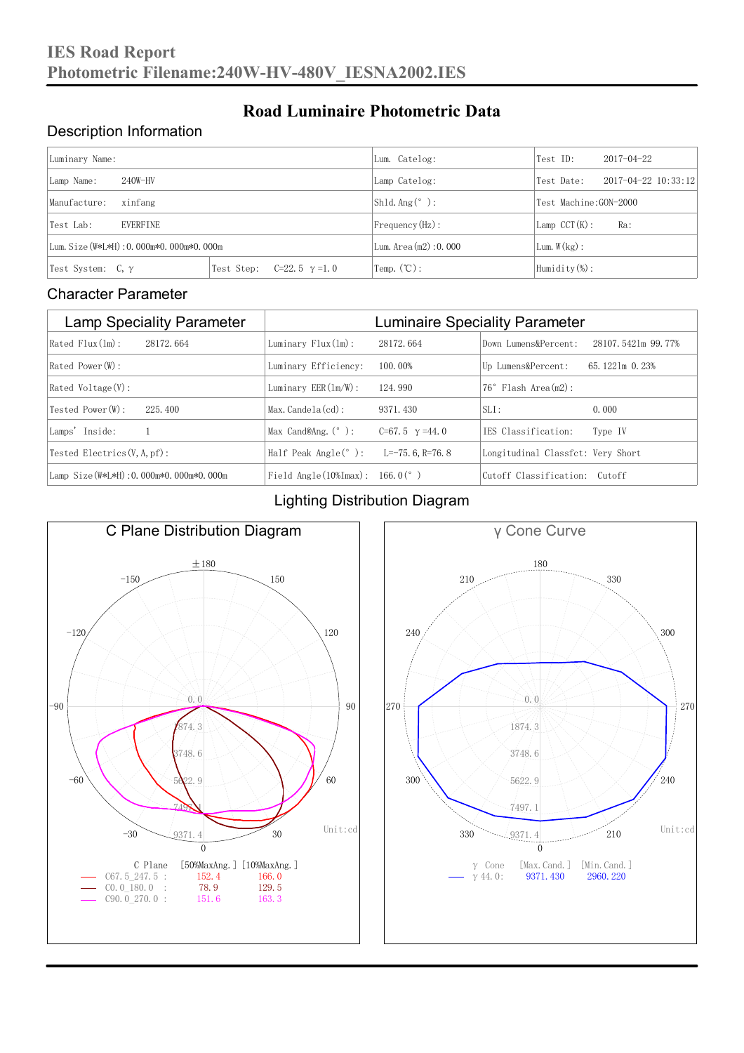### Description Information

| Luminary Name:                          |                                     | Lum. Catelog:                | Test ID:                    | $2017 - 04 - 22$ |  |
|-----------------------------------------|-------------------------------------|------------------------------|-----------------------------|------------------|--|
| $240W-HV$<br>Lamp Name:                 | Lamp Catelog:                       | Test Date:                   | $2017 - 04 - 22$ $10:33:12$ |                  |  |
| Manufacture:<br>xinfang                 |                                     | Shld. Ang $(^\circ)$ :       | Test Machine:GON-2000       |                  |  |
| <b>EVERFINE</b><br>Test Lab:            |                                     | $Frequency(Hz)$ :            | $Lamp$ CCT(K):              | Ra:              |  |
| Lum. Size (W*L*H): 0.000m*0.000m*0.000m |                                     | Lum. $Area(m2):0.000$        | Lum. $W(kg)$ :              |                  |  |
| Test System: $C, \gamma$                | Test Step:<br>$C=22.5$ $\gamma=1.0$ | $\text{Temp.} (\text{°C})$ : | Humidity $(\%)$ :           |                  |  |

**Road Luminaire Photometric Data**

#### Character Parameter

| <b>Lamp Speciality Parameter</b>       | <b>Luminaire Speciality Parameter</b>         |                          |                                   |                    |
|----------------------------------------|-----------------------------------------------|--------------------------|-----------------------------------|--------------------|
| Rated Flux(1m):<br>28172, 664          | Luminary $Flux(ln)$ :                         | 28172, 664               | Down Lumens&Percent:              | 28107.5421m 99.77% |
| Rated Power (W):                       | Luminary Efficiency:                          | 100.00%                  | Up Lumens&Percent:                | 65.1221m 0.23%     |
| $Rated$ Voltage $(V)$ :                | Luminary $EER(\ln/W)$ :                       | 124, 990                 | $76°$ Flash Area $(m2)$ :         |                    |
| Tested Power(W):<br>225, 400           | $Max. Candela(cd)$ :                          | 9371, 430                | $SLI$ :                           | 0.000              |
| Lamps' Inside:                         | Max Cand@Ang. $(°)$ :                         | $C=67.5$ $\gamma = 44.0$ | TES Classification:               | Type IV            |
| Tested Electrics $(V, A, pf)$ :        | Half Peak Angle $(°)$ :                       | L=-75. 6. R=76. 8        | Longitudinal Classfct: Very Short |                    |
| Lamp Size(W*L*H): 0.000m*0.000m*0.000m | Field Angle $(10\frac{m}{max})$ : 166.0 $(°)$ |                          | Cutoff Classification: Cutoff     |                    |

#### Lighting Distribution Diagram



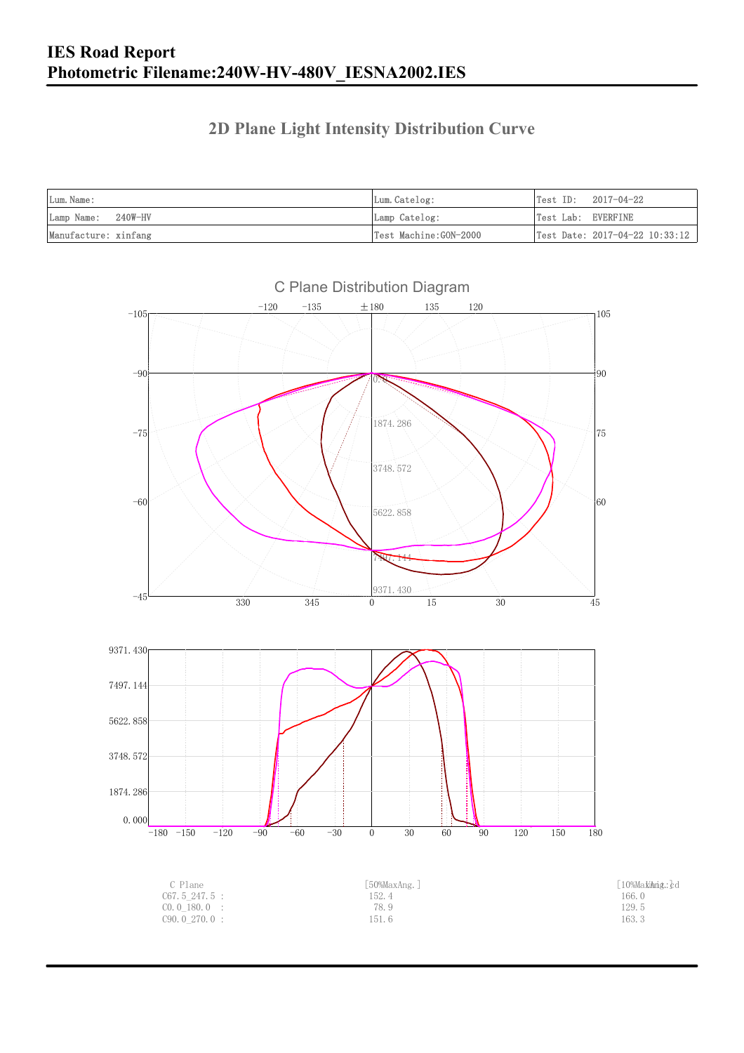### **2D Plane Light Intensity Distribution Curve**

| Lum. Name:           | Lum.Catelog:          | Test ID:<br>2017-04-22                         |
|----------------------|-----------------------|------------------------------------------------|
| Lamp Name: 240W-HV   | Lamp Catelog:         | Test Lab: EVERFINE                             |
| Manufacture: xinfang | Test Machine:GON-2000 | $\vert$ Test Date: 2017-04-22 10:33:12 $\vert$ |

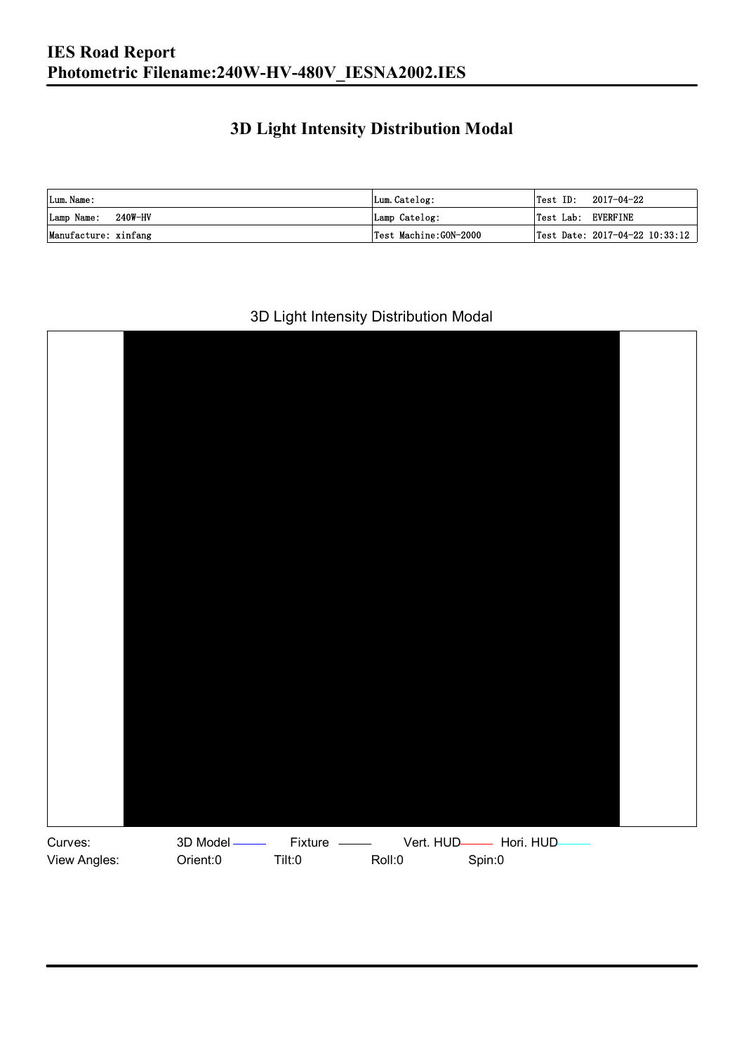### **3D Light Intensity Distribution Modal**

| Lum. Name:           | Lum.Catelog:          |                    | $\textsf{Test ID:} \quad 2017-04-22$ |
|----------------------|-----------------------|--------------------|--------------------------------------|
| Lamp Name: 240W-HV   | Lamp Catelog:         | Test Lab: EVERFINE |                                      |
| Manufacture: xinfang | Test Machine:GON-2000 |                    | Test Date: 2017-04-22 10:33:12       |

#### 3D Light Intensity Distribution Modal

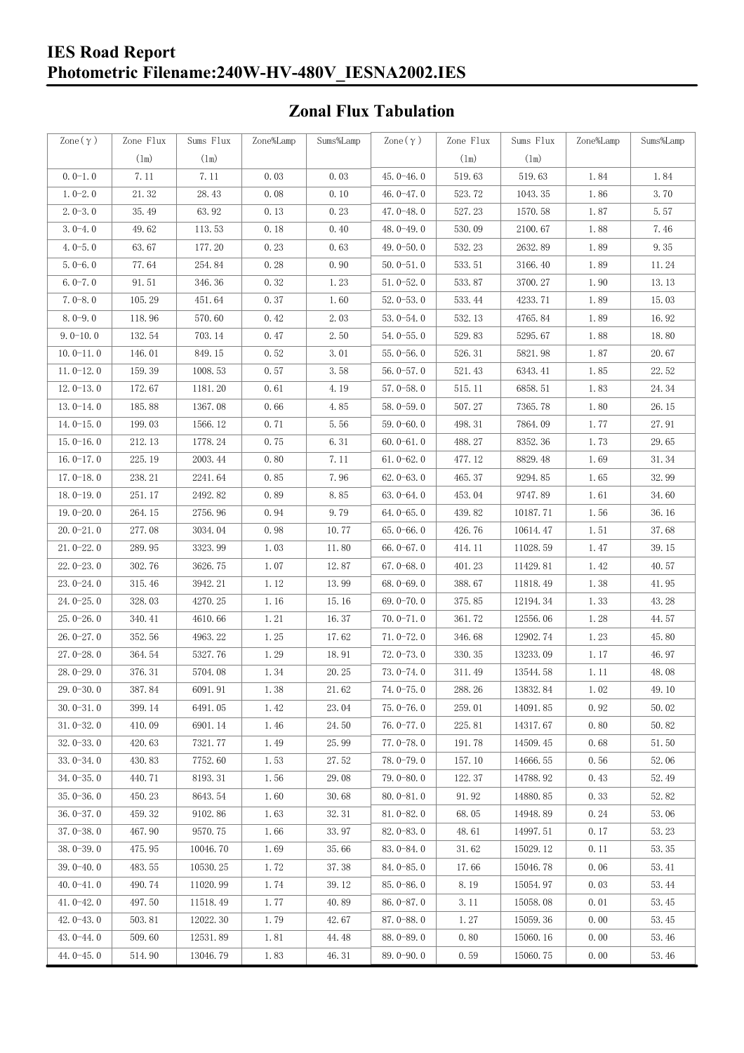#### **IES Road Report Photometric Filename:240W-HV-480V\_IESNA2002.IES**

### **Zonal Flux Tabulation**

| Zone $(\gamma)$ | Zone Flux     | Sums Flux     | Zone%Lamp | Sums%Lamp | Zone $(\gamma)$ | Zone Flux     | Sums Flux | Zone%Lamp | Sums%Lamp |
|-----------------|---------------|---------------|-----------|-----------|-----------------|---------------|-----------|-----------|-----------|
|                 | $(\text{lm})$ | $(\text{lm})$ |           |           |                 | $(\text{lm})$ | (1m)      |           |           |
| $0.0-1.0$       | 7.11          | 7.11          | 0.03      | 0.03      | $45.0 - 46.0$   | 519.63        | 519.63    | 1.84      | 1.84      |
| $1.0 - 2.0$     | 21.32         | 28.43         | 0.08      | 0.10      | 46.0 $-47.0$    | 523.72        | 1043.35   | 1.86      | 3.70      |
| $2.0 - 3.0$     | 35.49         | 63.92         | 0.13      | 0.23      | $47.0 - 48.0$   | 527.23        | 1570.58   | 1.87      | 5.57      |
| $3.0 - 4.0$     | 49.62         | 113.53        | 0.18      | 0.40      | 48.0-49.0       | 530.09        | 2100.67   | 1.88      | 7.46      |
| $4.0 - 5.0$     | 63.67         | 177.20        | 0.23      | 0.63      | 49.0 $-50.0$    | 532.23        | 2632.89   | 1.89      | 9.35      |
| $5.0 - 6.0$     | 77.64         | 254.84        | 0.28      | 0.90      | $50.0 - 51.0$   | 533.51        | 3166.40   | 1.89      | 11.24     |
| $6.0 - 7.0$     | 91.51         | 346.36        | 0.32      | 1.23      | $51.0 - 52.0$   | 533.87        | 3700.27   | 1.90      | 13.13     |
| $7.0 - 8.0$     | 105.29        | 451.64        | 0.37      | 1.60      | $52.0 - 53.0$   | 533.44        | 4233.71   | 1.89      | 15.03     |
| $8.0 - 9.0$     | 118.96        | 570.60        | 0.42      | 2.03      | $53.0 - 54.0$   | 532.13        | 4765.84   | 1.89      | 16.92     |
| $9.0 - 10.0$    | 132.54        | 703.14        | 0.47      | 2.50      | $54.0 - 55.0$   | 529.83        | 5295.67   | 1.88      | 18.80     |
| $10.0 - 11.0$   | 146.01        | 849.15        | 0.52      | 3.01      | $55.0 - 56.0$   | 526.31        | 5821.98   | 1.87      | 20.67     |
| $11.0 - 12.0$   | 159.39        | 1008.53       | 0.57      | 3.58      | $56.0 - 57.0$   | 521.43        | 6343.41   | 1.85      | 22.52     |
| $12.0 - 13.0$   | 172.67        | 1181.20       | 0.61      | 4.19      | $57.0 - 58.0$   | 515.11        | 6858.51   | 1.83      | 24.34     |
| $13.0 - 14.0$   | 185.88        | 1367.08       | 0.66      | 4.85      | $58.0 - 59.0$   | 507.27        | 7365.78   | 1.80      | 26.15     |
| $14.0 - 15.0$   | 199.03        | 1566.12       | 0.71      | 5.56      | $59.0 - 60.0$   | 498.31        | 7864.09   | 1.77      | 27.91     |
| $15.0 - 16.0$   | 212.13        | 1778.24       | 0.75      | 6.31      | $60.0 - 61.0$   | 488.27        | 8352.36   | 1.73      | 29.65     |
| $16.0 - 17.0$   | 225.19        | 2003.44       | 0.80      | 7.11      | $61.0 - 62.0$   | 477.12        | 8829.48   | 1.69      | 31.34     |
| $17.0 - 18.0$   | 238.21        | 2241.64       | 0.85      | 7.96      | $62.0 - 63.0$   | 465.37        | 9294.85   | 1.65      | 32.99     |
| $18.0 - 19.0$   | 251.17        | 2492.82       | 0.89      | 8.85      | $63.0 - 64.0$   | 453.04        | 9747.89   | 1.61      | 34.60     |
| $19.0 - 20.0$   | 264.15        | 2756.96       | 0.94      | 9.79      | $64.0 - 65.0$   | 439.82        | 10187.71  | 1.56      | 36.16     |
| $20.0 - 21.0$   | 277.08        | 3034.04       | 0.98      | 10.77     | $65.0 - 66.0$   | 426.76        | 10614.47  | 1.51      | 37.68     |
| $21.0 - 22.0$   | 289.95        | 3323.99       | 1.03      | 11.80     | $66.0 - 67.0$   | 414.11        | 11028.59  | 1.47      | 39.15     |
| $22.0 - 23.0$   | 302.76        | 3626.75       | 1.07      | 12.87     | $67.0 - 68.0$   | 401.23        | 11429.81  | 1.42      | 40.57     |
| $23.0 - 24.0$   | 315.46        | 3942.21       | 1.12      | 13.99     | $68.0 - 69.0$   | 388.67        | 11818.49  | 1.38      | 41.95     |
| $24.0 - 25.0$   | 328.03        | 4270.25       | 1.16      | 15.16     | 69.0-70.0       | 375.85        | 12194.34  | 1.33      | 43.28     |
| $25.0 - 26.0$   | 340.41        | 4610.66       | 1.21      | 16.37     | $70.0 - 71.0$   | 361.72        | 12556.06  | 1.28      | 44.57     |
| $26.0 - 27.0$   | 352.56        | 4963.22       | 1.25      | 17.62     | $71.0 - 72.0$   | 346.68        | 12902.74  | 1.23      | 45.80     |
| $27.0 - 28.0$   | 364.54        | 5327.76       | 1.29      | 18.91     | $72.0 - 73.0$   | 330.35        | 13233.09  | 1.17      | 46.97     |
| 28.0-29.0       | 376.31        | 5704.08       | 1.34      | 20.25     | $73.0 - 74.0$   | 311.49        | 13544.58  | 1.11      | 48.08     |
| 29.0-30.0       | 387.84        | 6091.91       | 1.38      | 21.62     | 74.0-75.0       | 288.26        | 13832.84  | $1.02\,$  | 49.10     |
| $30.0 - 31.0$   | 399.14        | 6491.05       | 1.42      | 23.04     | $75.0 - 76.0$   | 259.01        | 14091.85  | 0.92      | 50.02     |
| $31.0 - 32.0$   | 410.09        | 6901.14       | 1.46      | 24.50     | $76.0 - 77.0$   | 225.81        | 14317.67  | 0.80      | 50.82     |
| $32.0 - 33.0$   | 420.63        | 7321.77       | 1.49      | 25.99     | $77.0 - 78.0$   | 191.78        | 14509.45  | 0.68      | 51.50     |
| $33.0 - 34.0$   | 430.83        | 7752.60       | 1.53      | 27.52     | 78.0-79.0       | 157.10        | 14666.55  | 0.56      | 52.06     |
| $34.0 - 35.0$   | 440.71        | 8193.31       | 1.56      | 29.08     | $79.0 - 80.0$   | 122.37        | 14788.92  | 0.43      | 52.49     |
| $35.0 - 36.0$   | 450.23        | 8643.54       | 1.60      | 30.68     | $80.0 - 81.0$   | 91.92         | 14880.85  | 0.33      | 52.82     |
| $36.0 - 37.0$   | 459.32        | 9102.86       | 1.63      | 32.31     | $81.0 - 82.0$   | 68.05         | 14948.89  | 0.24      | 53.06     |
| $37.0 - 38.0$   | 467.90        | 9570.75       | 1.66      | 33.97     | $82.0 - 83.0$   | 48.61         | 14997.51  | 0.17      | 53.23     |
| $38.0 - 39.0$   | 475.95        | 10046.70      | 1.69      | 35.66     | 83.0-84.0       | 31.62         | 15029.12  | 0.11      | 53.35     |
| $39.0 - 40.0$   | 483.55        | 10530.25      | 1.72      | 37.38     | 84.0-85.0       | 17.66         | 15046.78  | 0.06      | 53.41     |
| $40.0 - 41.0$   | 490.74        | 11020.99      | 1.74      | 39.12     | 85.0-86.0       | 8.19          | 15054.97  | 0.03      | 53.44     |
| $41.0 - 42.0$   | 497.50        | 11518.49      | 1.77      | 40.89     | $86.0 - 87.0$   | 3.11          | 15058.08  | 0.01      | 53.45     |
| $42.0 - 43.0$   | 503.81        | 12022.30      | 1.79      | 42.67     | 87.0-88.0       | 1.27          | 15059.36  | 0.00      | 53.45     |
| $43.0 - 44.0$   | 509.60        | 12531.89      | 1.81      | 44.48     | 88.0-89.0       | 0.80          | 15060.16  | 0.00      | 53.46     |
| $44.0 - 45.0$   | 514.90        | 13046.79      | 1.83      | 46.31     | $89.0 - 90.0$   | 0.59          | 15060.75  | 0.00      | 53.46     |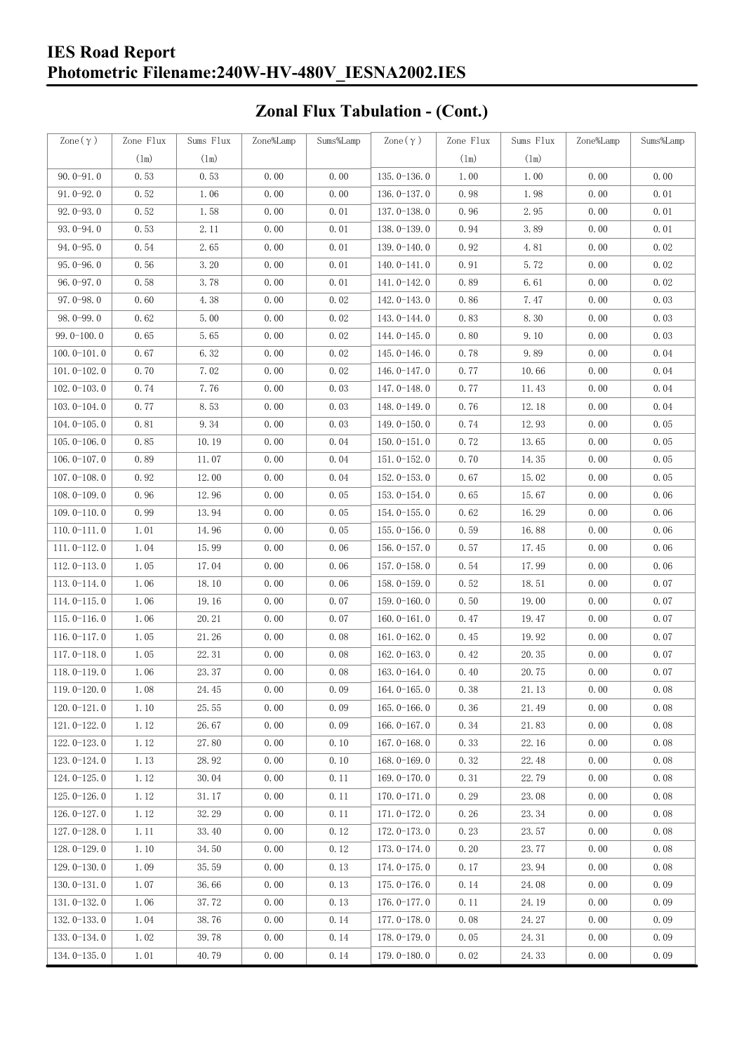### **IES Road Report Photometric Filename:240W-HV-480V\_IESNA2002.IES**

# **Zonal Flux Tabulation - (Cont.)**

| Zone $(\gamma)$ | Zone Flux | Sums Flux | Zone%Lamp | Sums%Lamp | Zone $(\gamma)$ | Zone Flux | Sums Flux | Zone%Lamp | Sums%Lamp |
|-----------------|-----------|-----------|-----------|-----------|-----------------|-----------|-----------|-----------|-----------|
|                 | (1m)      | (1m)      |           |           |                 | (1m)      | (1m)      |           |           |
| $90.0 - 91.0$   | 0.53      | 0.53      | 0.00      | 0.00      | $135.0 - 136.0$ | 1.00      | 1.00      | 0.00      | 0.00      |
| $91.0 - 92.0$   | 0.52      | 1.06      | 0.00      | 0.00      | $136.0 - 137.0$ | 0.98      | 1.98      | 0.00      | 0.01      |
| $92.0 - 93.0$   | 0.52      | 1.58      | 0.00      | 0.01      | 137.0-138.0     | 0.96      | 2.95      | 0.00      | 0.01      |
| 93.0-94.0       | 0.53      | 2.11      | 0.00      | 0.01      | 138.0-139.0     | 0.94      | 3.89      | 0.00      | 0.01      |
| $94.0 - 95.0$   | 0.54      | 2.65      | 0.00      | 0.01      | 139.0-140.0     | 0.92      | 4.81      | 0.00      | 0.02      |
| $95.0 - 96.0$   | 0.56      | 3.20      | 0.00      | 0.01      | $140.0 - 141.0$ | 0.91      | 5.72      | 0.00      | 0.02      |
| $96.0 - 97.0$   | 0.58      | 3.78      | 0.00      | 0.01      | 141.0-142.0     | 0.89      | 6.61      | 0.00      | 0.02      |
| $97.0 - 98.0$   | 0.60      | 4.38      | 0.00      | 0.02      | 142.0-143.0     | 0.86      | 7.47      | 0.00      | 0.03      |
| $98.0 - 99.0$   | 0.62      | 5.00      | 0.00      | 0.02      | $143.0 - 144.0$ | 0.83      | 8.30      | 0.00      | 0.03      |
| $99.0 - 100.0$  | 0.65      | 5.65      | 0.00      | 0.02      | 144.0-145.0     | 0.80      | 9.10      | 0.00      | 0.03      |
| $100.0 - 101.0$ | 0.67      | 6.32      | 0.00      | 0.02      | $145.0 - 146.0$ | 0.78      | 9.89      | 0.00      | 0.04      |
| $101.0 - 102.0$ | 0.70      | 7.02      | 0.00      | 0.02      | $146.0 - 147.0$ | 0.77      | 10.66     | 0.00      | 0.04      |
| $102.0 - 103.0$ | 0.74      | 7.76      | 0.00      | 0.03      | 147.0-148.0     | 0.77      | 11.43     | 0.00      | 0.04      |
| $103.0 - 104.0$ | 0.77      | 8.53      | 0.00      | 0.03      | 148.0-149.0     | 0.76      | 12.18     | 0.00      | 0.04      |
| $104.0 - 105.0$ | 0.81      | 9.34      | 0.00      | 0.03      | 149.0-150.0     | 0.74      | 12.93     | 0.00      | 0.05      |
| $105.0 - 106.0$ | 0.85      | 10.19     | 0.00      | 0.04      | $150.0 - 151.0$ | 0.72      | 13.65     | 0.00      | 0.05      |
| $106.0 - 107.0$ | 0.89      | 11.07     | 0.00      | 0.04      | $151.0 - 152.0$ | 0.70      | 14.35     | 0.00      | 0.05      |
| $107.0 - 108.0$ | 0.92      | 12.00     | 0.00      | 0.04      | $152.0 - 153.0$ | 0.67      | 15.02     | 0.00      | 0.05      |
| $108.0 - 109.0$ | 0.96      | 12.96     | 0.00      | 0.05      | $153.0 - 154.0$ | 0.65      | 15.67     | 0.00      | 0.06      |
| $109.0 - 110.0$ | 0.99      | 13.94     | 0.00      | 0.05      | $154.0 - 155.0$ | 0.62      | 16.29     | 0.00      | 0.06      |
| $110.0 - 111.0$ | 1.01      | 14.96     | 0.00      | 0.05      | $155.0 - 156.0$ | 0.59      | 16.88     | 0.00      | 0.06      |
| $111.0 - 112.0$ | 1.04      | 15.99     | 0.00      | 0.06      | $156.0 - 157.0$ | 0.57      | 17.45     | 0.00      | 0.06      |
| $112.0 - 113.0$ | 1.05      | 17.04     | 0.00      | 0.06      | 157.0-158.0     | 0.54      | 17.99     | 0.00      | 0.06      |
| $113.0 - 114.0$ | 1.06      | 18.10     | 0.00      | 0.06      | $158.0 - 159.0$ | 0.52      | 18.51     | 0.00      | 0.07      |
| $114.0 - 115.0$ | 1.06      | 19.16     | 0.00      | 0.07      | $159.0 - 160.0$ | 0.50      | 19.00     | 0.00      | 0.07      |
| $115.0 - 116.0$ | 1.06      | 20.21     | 0.00      | 0.07      | $160.0 - 161.0$ | 0.47      | 19.47     | 0.00      | 0.07      |
| $116.0 - 117.0$ | 1.05      | 21.26     | 0.00      | 0.08      | $161.0 - 162.0$ | 0.45      | 19.92     | 0.00      | 0.07      |
| $117.0 - 118.0$ | 1.05      | 22.31     | 0.00      | 0.08      | $162.0 - 163.0$ | 0.42      | 20.35     | 0.00      | 0.07      |
| $118.0 - 119.0$ | 1.06      | 23.37     | 0.00      | 0.08      | $163.0 - 164.0$ | 0.40      | 20.75     | 0.00      | 0.07      |
| 119.0-120.0     | 1.08      | 24.45     | 0.00      | 0.09      | $164.0 - 165.0$ | 0.38      | 21.13     | 0.00      | 0.08      |
| $120.0 - 121.0$ | 1.10      | 25.55     | 0.00      | 0.09      | $165.0 - 166.0$ | 0.36      | 21.49     | 0.00      | 0.08      |
| $121.0 - 122.0$ | 1.12      | 26.67     | 0.00      | 0.09      | $166.0 - 167.0$ | 0.34      | 21.83     | 0.00      | 0.08      |
| $122.0 - 123.0$ | 1.12      | 27.80     | 0.00      | 0.10      | $167.0 - 168.0$ | 0.33      | 22.16     | 0.00      | 0.08      |
| $123.0 - 124.0$ | 1.13      | 28.92     | 0.00      | 0.10      | $168.0 - 169.0$ | 0.32      | 22.48     | 0.00      | 0.08      |
| $124.0 - 125.0$ | 1.12      | 30.04     | 0.00      | 0.11      | 169.0-170.0     | 0.31      | 22.79     | 0.00      | 0.08      |
| $125.0 - 126.0$ | 1.12      | 31.17     | 0.00      | 0.11      | $170.0 - 171.0$ | 0.29      | 23.08     | 0.00      | 0.08      |
| $126.0 - 127.0$ | 1.12      | 32.29     | 0.00      | 0.11      | 171.0-172.0     | 0.26      | 23.34     | 0.00      | 0.08      |
| $127.0 - 128.0$ | 1.11      | 33.40     | 0.00      | 0.12      | 172.0-173.0     | 0.23      | 23.57     | 0.00      | 0.08      |
| $128.0 - 129.0$ | 1.10      | 34.50     | 0.00      | 0.12      | 173.0-174.0     | 0.20      | 23.77     | 0.00      | 0.08      |
| $129.0 - 130.0$ | 1.09      | 35.59     | 0.00      | 0.13      | 174.0-175.0     | 0.17      | 23.94     | 0.00      | 0.08      |
| $130.0 - 131.0$ | 1.07      | 36.66     | 0.00      | 0.13      | $175.0 - 176.0$ | 0.14      | 24.08     | 0.00      | 0.09      |
| $131.0 - 132.0$ | 1.06      | 37.72     | 0.00      | 0.13      | 176.0-177.0     | 0.11      | 24.19     | 0.00      | 0.09      |
| $132.0 - 133.0$ | 1.04      | 38.76     | 0.00      | 0.14      | 177.0-178.0     | 0.08      | 24.27     | 0.00      | 0.09      |
| 133.0-134.0     | 1.02      | 39.78     | 0.00      | 0.14      | 178.0-179.0     | 0.05      | 24.31     | 0.00      | 0.09      |
| $134.0 - 135.0$ | 1.01      | 40.79     | 0.00      | 0.14      | 179.0-180.0     | 0.02      | 24.33     | 0.00      | 0.09      |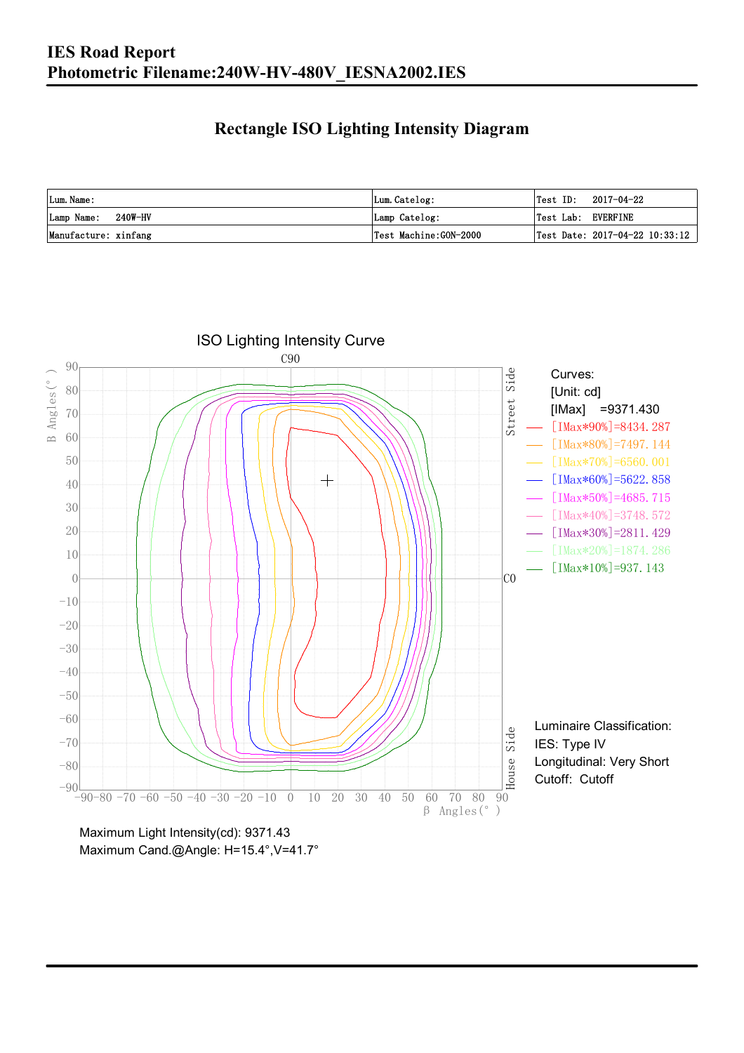### **Rectangle ISO Lighting Intensity Diagram**

| Lum. Name:           | Lum.Catelog:          | $\textsf{Test ID:} \quad 2017-04-22$      |
|----------------------|-----------------------|-------------------------------------------|
| Lamp Name: 240W-HV   | Lamp Catelog:         | Test Lab: EVERFINE                        |
| Manufacture: xinfang | Test Machine:GON-2000 | $\sqrt{2}$ Test Date: 2017-04-22 10:33:12 |



Maximum Cand.@Angle: H=15.4°, V=41.7°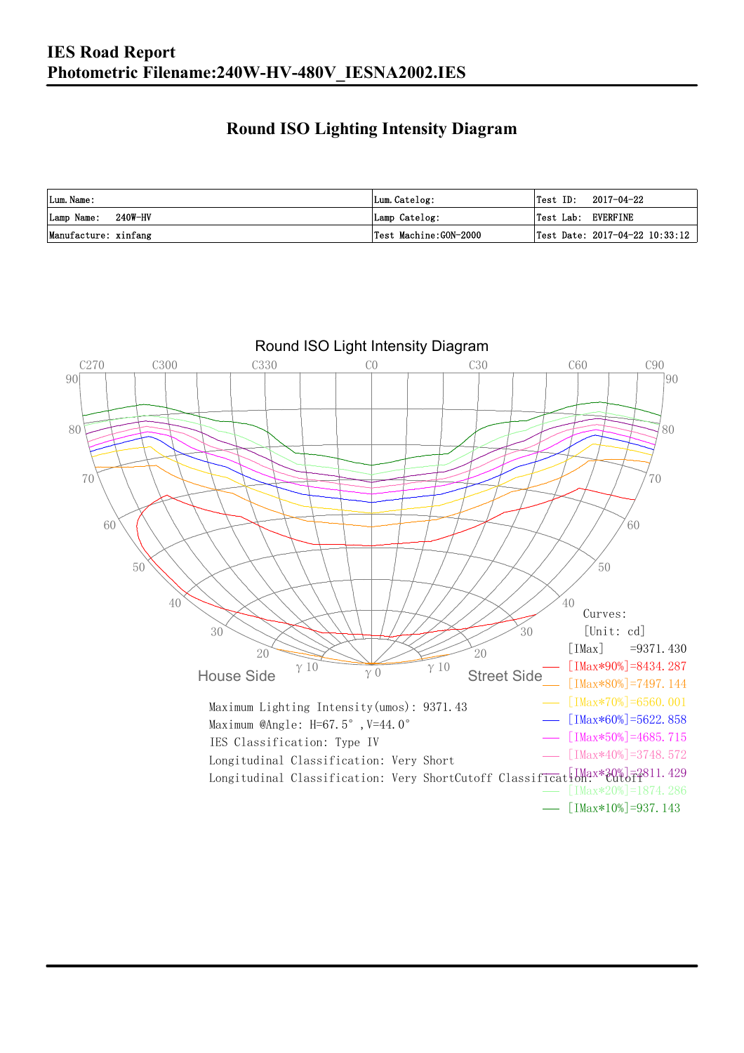### **Round ISO Lighting Intensity Diagram**

| Lum. Name:           | Lum.Catelog:          | Test ID:<br>2017-04-22                    |
|----------------------|-----------------------|-------------------------------------------|
| Lamp Name: 240W-HV   | Lamp Catelog:         | Test Lab: EVERFINE                        |
| Manufacture: xinfang | Test Machine:GON-2000 | $\sqrt{2}$ Test Date: 2017-04-22 10:33:12 |

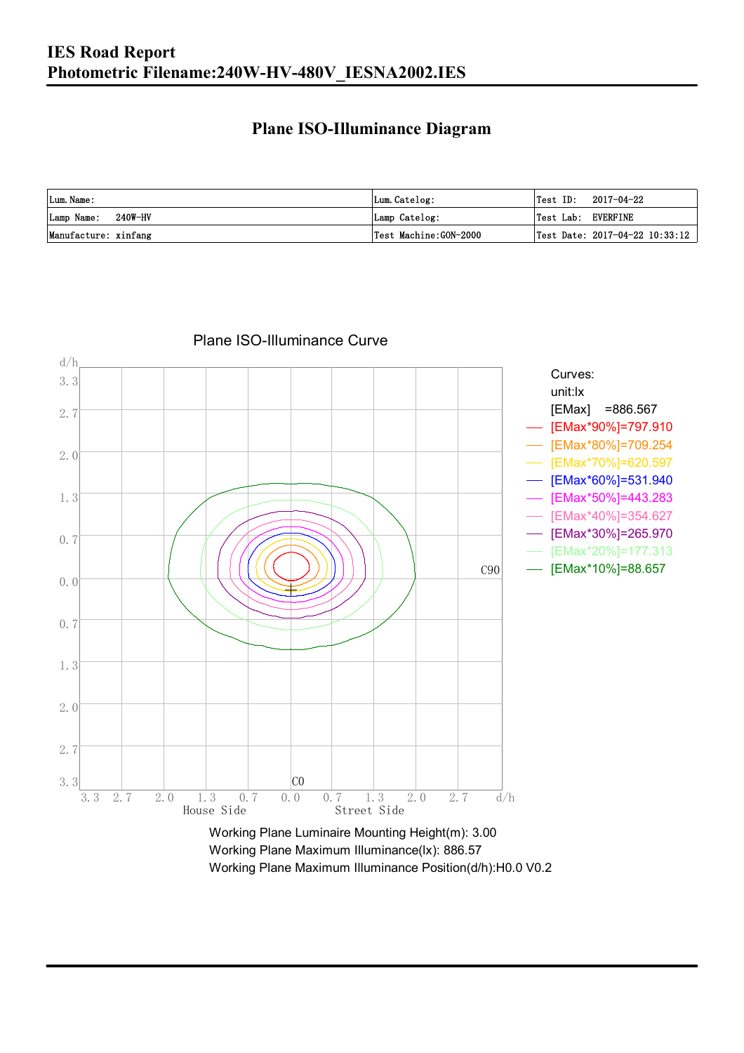#### **Plane ISO-Illuminance Diagram**

| Lum. Name:           | Lum.Catelog:          | $\textsf{Test ID:} \quad 2017-04-22$           |
|----------------------|-----------------------|------------------------------------------------|
| Lamp Name: 240W-HV   | Lamp Catelog:         | Test Lab: EVERFINE                             |
| Manufacture: xinfang | Test Machine:GON-2000 | $\vert$ Test Date: 2017-04-22 10:33:12 $\vert$ |



Plane ISO-Illuminance Curve

Working Plane Maximum Illuminance(lx): 886.57 Working Plane Maximum Illuminance Position(d/h):H0.0 V0.2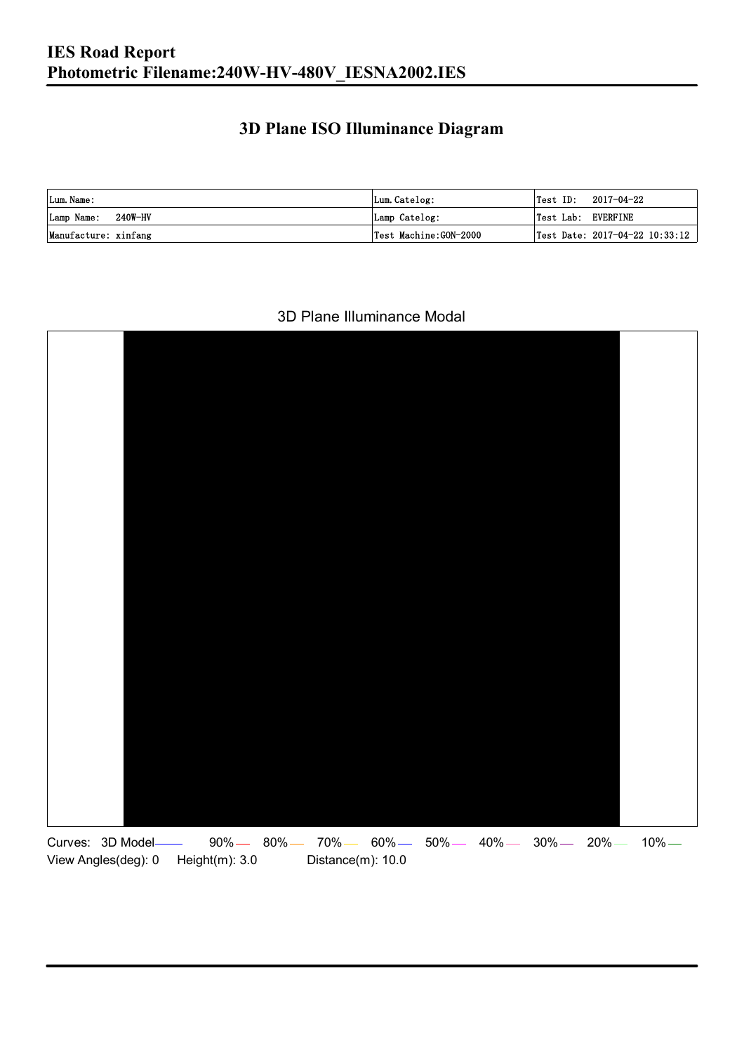### **3D Plane ISO Illuminance Diagram**

| Lum. Name:           | Lum.Catelog:          |                    | $\textsf{Test ID:} \quad 2017-04-22$ |
|----------------------|-----------------------|--------------------|--------------------------------------|
| Lamp Name: 240W-HV   | Lamp Catelog:         | Test Lab: EVERFINE |                                      |
| Manufacture: xinfang | Test Machine:GON-2000 |                    | Test Date: 2017-04-22 10:33:12       |

#### 3D Plane Illuminance Modal

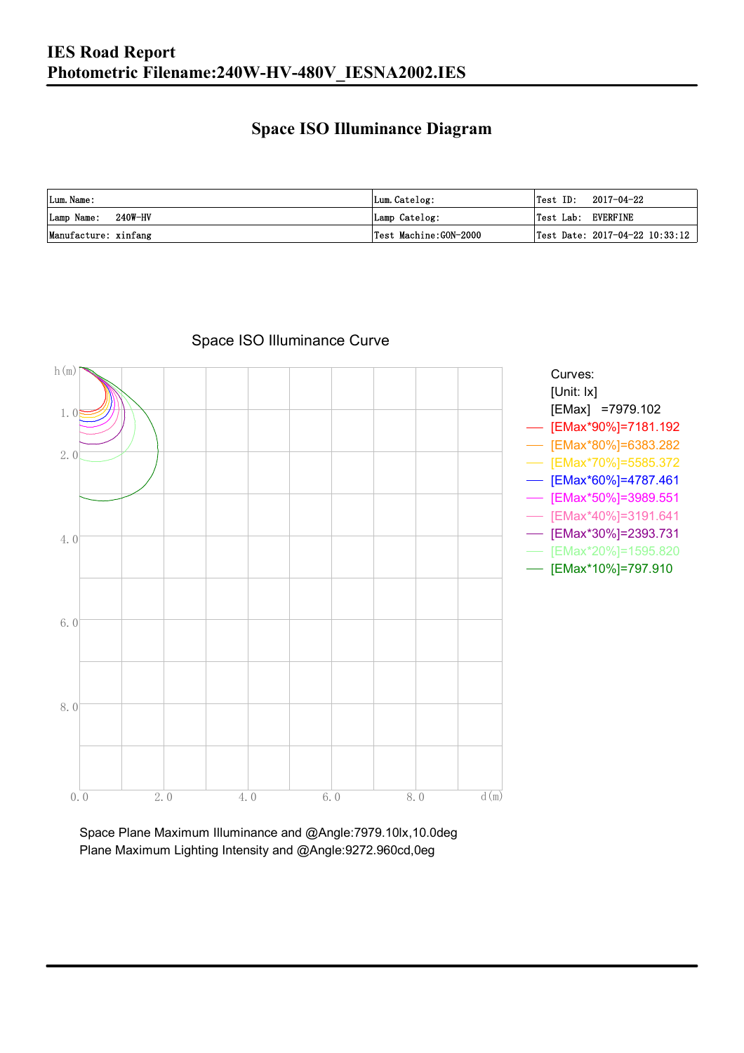#### **Space ISO Illuminance Diagram**

| Lum. Name:           | Lum.Catelog:          | $\textsf{Test ID:} \quad 2017-04-22$           |
|----------------------|-----------------------|------------------------------------------------|
| Lamp Name: 240W-HV   | Lamp Catelog:         | Test Lab: EVERFINE                             |
| Manufacture: xinfang | Test Machine:GON-2000 | $\vert$ Test Date: 2017-04-22 10:33:12 $\vert$ |



Space ISO Illuminance Curve

Space Plane Maximum Illuminance and @Angle:7979.10lx,10.0deg Plane Maximum Lighting Intensity and @Angle:9272.960cd,0eg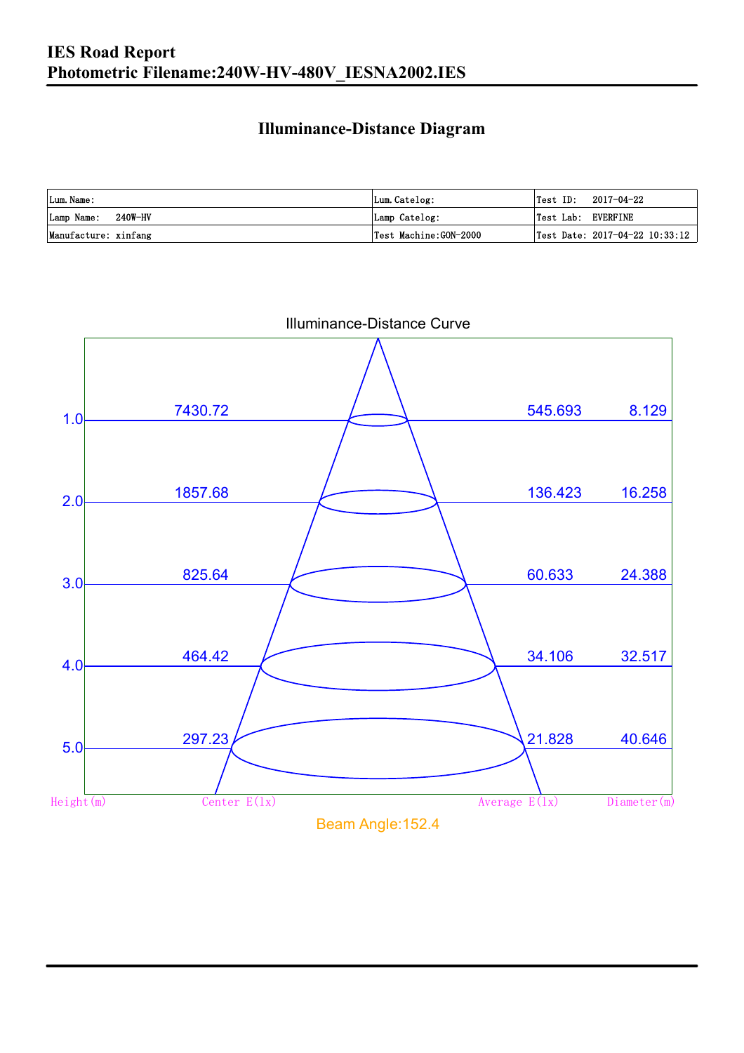### **Illuminance-Distance Diagram**

| Lum. Name:           | Lum.Catelog:          | Test ID:<br>2017-04-22         |
|----------------------|-----------------------|--------------------------------|
| Lamp Name: 240W-HV   | Lamp Catelog:         | Test Lab: EVERFINE             |
| Manufacture: xinfang | Test Machine:GON-2000 | Test Date: 2017-04-22 10:33:12 |



Illuminance-Distance Curve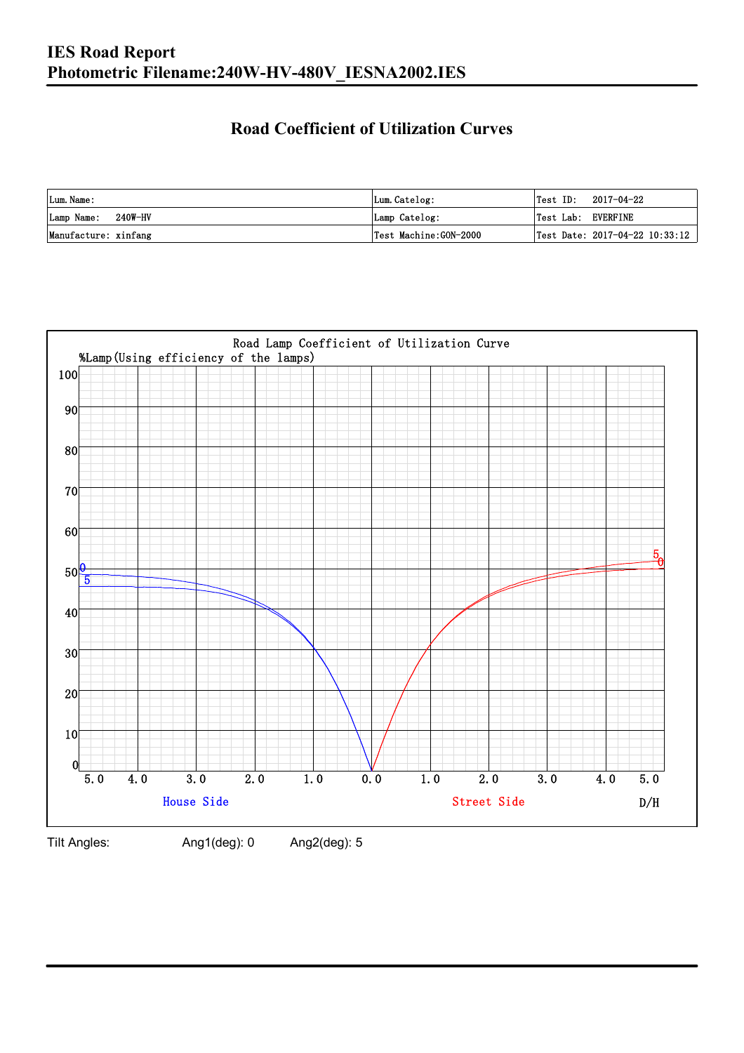### **Road Coefficient of Utilization Curves**

| Lum. Name:           | Lum.Catelog:          |                    | $\textsf{Test ID:} \quad 2017-04-22$ |
|----------------------|-----------------------|--------------------|--------------------------------------|
| Lamp Name: 240W-HV   | Lamp Catelog:         | Test Lab: EVERFINE |                                      |
| Manufacture: xinfang | Test Machine:GON-2000 |                    | Test Date: 2017-04-22 10:33:12       |



Tilt Angles: Ang1(deg): 0 Ang2(deg): 5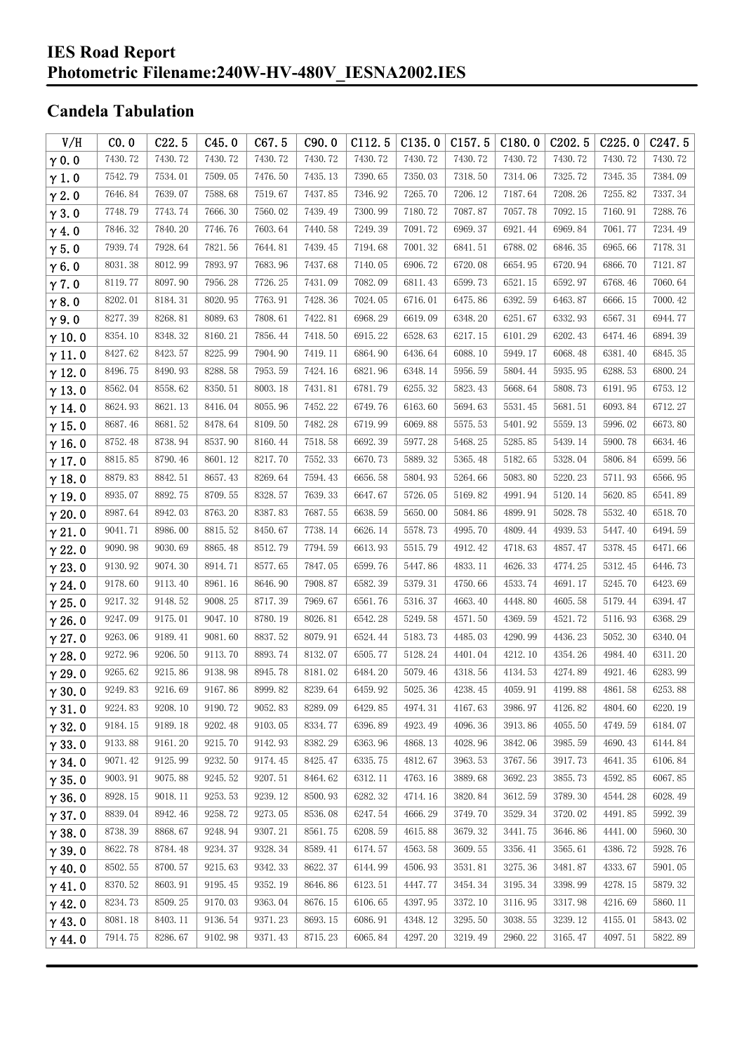#### **IES Road Report Photometric Filename:240W-HV-480V\_IESNA2002.IES**

### **Candela Tabulation**

| V/H           | CO.0    | C22.5   | C45.0   | C67.5   | C90.0   | C112.5  | C135.0  | C157.5  | C180.0  | C202.5  | C225.0  | C <sub>247.5</sub> |
|---------------|---------|---------|---------|---------|---------|---------|---------|---------|---------|---------|---------|--------------------|
| $\gamma$ 0.0  | 7430.72 | 7430.72 | 7430.72 | 7430.72 | 7430.72 | 7430.72 | 7430.72 | 7430.72 | 7430.72 | 7430.72 | 7430.72 | 7430.72            |
| $\gamma$ 1.0  | 7542.79 | 7534.01 | 7509.05 | 7476.50 | 7435.13 | 7390.65 | 7350.03 | 7318.50 | 7314.06 | 7325.72 | 7345.35 | 7384.09            |
| $\gamma$ 2.0  | 7646.84 | 7639.07 | 7588.68 | 7519.67 | 7437.85 | 7346.92 | 7265.70 | 7206.12 | 7187.64 | 7208.26 | 7255.82 | 7337.34            |
| $\gamma$ 3.0  | 7748.79 | 7743.74 | 7666.30 | 7560.02 | 7439.49 | 7300.99 | 7180.72 | 7087.87 | 7057.78 | 7092.15 | 7160.91 | 7288.76            |
| $\gamma$ 4.0  | 7846.32 | 7840.20 | 7746.76 | 7603.64 | 7440.58 | 7249.39 | 7091.72 | 6969.37 | 6921.44 | 6969.84 | 7061.77 | 7234.49            |
| $\gamma$ 5.0  | 7939.74 | 7928.64 | 7821.56 | 7644.81 | 7439.45 | 7194.68 | 7001.32 | 6841.51 | 6788.02 | 6846.35 | 6965.66 | 7178.31            |
| $\gamma$ 6.0  | 8031.38 | 8012.99 | 7893.97 | 7683.96 | 7437.68 | 7140.05 | 6906.72 | 6720.08 | 6654.95 | 6720.94 | 6866.70 | 7121.87            |
| $\gamma$ 7.0  | 8119.77 | 8097.90 | 7956.28 | 7726.25 | 7431.09 | 7082.09 | 6811.43 | 6599.73 | 6521.15 | 6592.97 | 6768.46 | 7060.64            |
| $\gamma$ 8.0  | 8202.01 | 8184.31 | 8020.95 | 7763.91 | 7428.36 | 7024.05 | 6716.01 | 6475.86 | 6392.59 | 6463.87 | 6666.15 | 7000.42            |
| $\gamma$ 9.0  | 8277.39 | 8268.81 | 8089.63 | 7808.61 | 7422.81 | 6968.29 | 6619.09 | 6348.20 | 6251.67 | 6332.93 | 6567.31 | 6944.77            |
| $\gamma$ 10.0 | 8354.10 | 8348.32 | 8160.21 | 7856.44 | 7418.50 | 6915.22 | 6528.63 | 6217.15 | 6101.29 | 6202.43 | 6474.46 | 6894.39            |
| $\gamma$ 11.0 | 8427.62 | 8423.57 | 8225.99 | 7904.90 | 7419.11 | 6864.90 | 6436.64 | 6088.10 | 5949.17 | 6068.48 | 6381.40 | 6845.35            |
| $\gamma$ 12.0 | 8496.75 | 8490.93 | 8288.58 | 7953.59 | 7424.16 | 6821.96 | 6348.14 | 5956.59 | 5804.44 | 5935.95 | 6288.53 | 6800.24            |
| $\gamma$ 13.0 | 8562.04 | 8558.62 | 8350.51 | 8003.18 | 7431.81 | 6781.79 | 6255.32 | 5823.43 | 5668.64 | 5808.73 | 6191.95 | 6753.12            |
| $\gamma$ 14.0 | 8624.93 | 8621.13 | 8416.04 | 8055.96 | 7452.22 | 6749.76 | 6163.60 | 5694.63 | 5531.45 | 5681.51 | 6093.84 | 6712.27            |
| $\gamma$ 15.0 | 8687.46 | 8681.52 | 8478.64 | 8109.50 | 7482.28 | 6719.99 | 6069.88 | 5575.53 | 5401.92 | 5559.13 | 5996.02 | 6673.80            |
| $\gamma$ 16.0 | 8752.48 | 8738.94 | 8537.90 | 8160.44 | 7518.58 | 6692.39 | 5977.28 | 5468.25 | 5285.85 | 5439.14 | 5900.78 | 6634.46            |
| $\gamma$ 17.0 | 8815.85 | 8790.46 | 8601.12 | 8217.70 | 7552.33 | 6670.73 | 5889.32 | 5365.48 | 5182.65 | 5328.04 | 5806.84 | 6599.56            |
| $\gamma$ 18.0 | 8879.83 | 8842.51 | 8657.43 | 8269.64 | 7594.43 | 6656.58 | 5804.93 | 5264.66 | 5083.80 | 5220.23 | 5711.93 | 6566.95            |
| $\gamma$ 19.0 | 8935.07 | 8892.75 | 8709.55 | 8328.57 | 7639.33 | 6647.67 | 5726.05 | 5169.82 | 4991.94 | 5120.14 | 5620.85 | 6541.89            |
| $\gamma$ 20.0 | 8987.64 | 8942.03 | 8763.20 | 8387.83 | 7687.55 | 6638.59 | 5650.00 | 5084.86 | 4899.91 | 5028.78 | 5532.40 | 6518.70            |
| $\gamma$ 21.0 | 9041.71 | 8986.00 | 8815.52 | 8450.67 | 7738.14 | 6626.14 | 5578.73 | 4995.70 | 4809.44 | 4939.53 | 5447.40 | 6494.59            |
| $\gamma$ 22.0 | 9090.98 | 9030.69 | 8865.48 | 8512.79 | 7794.59 | 6613.93 | 5515.79 | 4912.42 | 4718.63 | 4857.47 | 5378.45 | 6471.66            |
| $\gamma$ 23.0 | 9130.92 | 9074.30 | 8914.71 | 8577.65 | 7847.05 | 6599.76 | 5447.86 | 4833.11 | 4626.33 | 4774.25 | 5312.45 | 6446.73            |
| $\gamma$ 24.0 | 9178.60 | 9113.40 | 8961.16 | 8646.90 | 7908.87 | 6582.39 | 5379.31 | 4750.66 | 4533.74 | 4691.17 | 5245.70 | 6423.69            |
| $\gamma$ 25.0 | 9217.32 | 9148.52 | 9008.25 | 8717.39 | 7969.67 | 6561.76 | 5316.37 | 4663.40 | 4448.80 | 4605.58 | 5179.44 | 6394.47            |
| $\gamma$ 26.0 | 9247.09 | 9175.01 | 9047.10 | 8780.19 | 8026.81 | 6542.28 | 5249.58 | 4571.50 | 4369.59 | 4521.72 | 5116.93 | 6368.29            |
| $\gamma$ 27.0 | 9263.06 | 9189.41 | 9081.60 | 8837.52 | 8079.91 | 6524.44 | 5183.73 | 4485.03 | 4290.99 | 4436.23 | 5052.30 | 6340.04            |
| $\gamma$ 28.0 | 9272.96 | 9206.50 | 9113.70 | 8893.74 | 8132.07 | 6505.77 | 5128.24 | 4401.04 | 4212.10 | 4354.26 | 4984.40 | 6311.20            |
| $\gamma$ 29.0 | 9265.62 | 9215.86 | 9138.98 | 8945.78 | 8181.02 | 6484.20 | 5079.46 | 4318.56 | 4134.53 | 4274.89 | 4921.46 | 6283.99            |
| $\gamma$ 30.0 | 9249.83 | 9216.69 | 9167.86 | 8999.82 | 8239.64 | 6459.92 | 5025.36 | 4238.45 | 4059.91 | 4199.88 | 4861.58 | 6253.88            |
| $\gamma$ 31.0 | 9224.83 | 9208.10 | 9190.72 | 9052.83 | 8289.09 | 6429.85 | 4974.31 | 4167.63 | 3986.97 | 4126.82 | 4804.60 | 6220.19            |
| $\gamma$ 32.0 | 9184.15 | 9189.18 | 9202.48 | 9103.05 | 8334.77 | 6396.89 | 4923.49 | 4096.36 | 3913.86 | 4055.50 | 4749.59 | 6184.07            |
| $\gamma$ 33.0 | 9133.88 | 9161.20 | 9215.70 | 9142.93 | 8382.29 | 6363.96 | 4868.13 | 4028.96 | 3842.06 | 3985.59 | 4690.43 | 6144.84            |
| $\gamma$ 34.0 | 9071.42 | 9125.99 | 9232.50 | 9174.45 | 8425.47 | 6335.75 | 4812.67 | 3963.53 | 3767.56 | 3917.73 | 4641.35 | 6106.84            |
| $\gamma$ 35.0 | 9003.91 | 9075.88 | 9245.52 | 9207.51 | 8464.62 | 6312.11 | 4763.16 | 3889.68 | 3692.23 | 3855.73 | 4592.85 | 6067.85            |
| $\gamma$ 36.0 | 8928.15 | 9018.11 | 9253.53 | 9239.12 | 8500.93 | 6282.32 | 4714.16 | 3820.84 | 3612.59 | 3789.30 | 4544.28 | 6028.49            |
| $\gamma$ 37.0 | 8839.04 | 8942.46 | 9258.72 | 9273.05 | 8536.08 | 6247.54 | 4666.29 | 3749.70 | 3529.34 | 3720.02 | 4491.85 | 5992.39            |
| $\gamma$ 38.0 | 8738.39 | 8868.67 | 9248.94 | 9307.21 | 8561.75 | 6208.59 | 4615.88 | 3679.32 | 3441.75 | 3646.86 | 4441.00 | 5960.30            |
| $\gamma$ 39.0 | 8622.78 | 8784.48 | 9234.37 | 9328.34 | 8589.41 | 6174.57 | 4563.58 | 3609.55 | 3356.41 | 3565.61 | 4386.72 | 5928.76            |
| $\gamma$ 40.0 | 8502.55 | 8700.57 | 9215.63 | 9342.33 | 8622.37 | 6144.99 | 4506.93 | 3531.81 | 3275.36 | 3481.87 | 4333.67 | 5901.05            |
| $\gamma$ 41.0 | 8370.52 | 8603.91 | 9195.45 | 9352.19 | 8646.86 | 6123.51 | 4447.77 | 3454.34 | 3195.34 | 3398.99 | 4278.15 | 5879.32            |
| $\gamma$ 42.0 | 8234.73 | 8509.25 | 9170.03 | 9363.04 | 8676.15 | 6106.65 | 4397.95 | 3372.10 | 3116.95 | 3317.98 | 4216.69 | 5860.11            |
| $\gamma$ 43.0 | 8081.18 | 8403.11 | 9136.54 | 9371.23 | 8693.15 | 6086.91 | 4348.12 | 3295.50 | 3038.55 | 3239.12 | 4155.01 | 5843.02            |
| $\gamma$ 44.0 | 7914.75 | 8286.67 | 9102.98 | 9371.43 | 8715.23 | 6065.84 | 4297.20 | 3219.49 | 2960.22 | 3165.47 | 4097.51 | 5822.89            |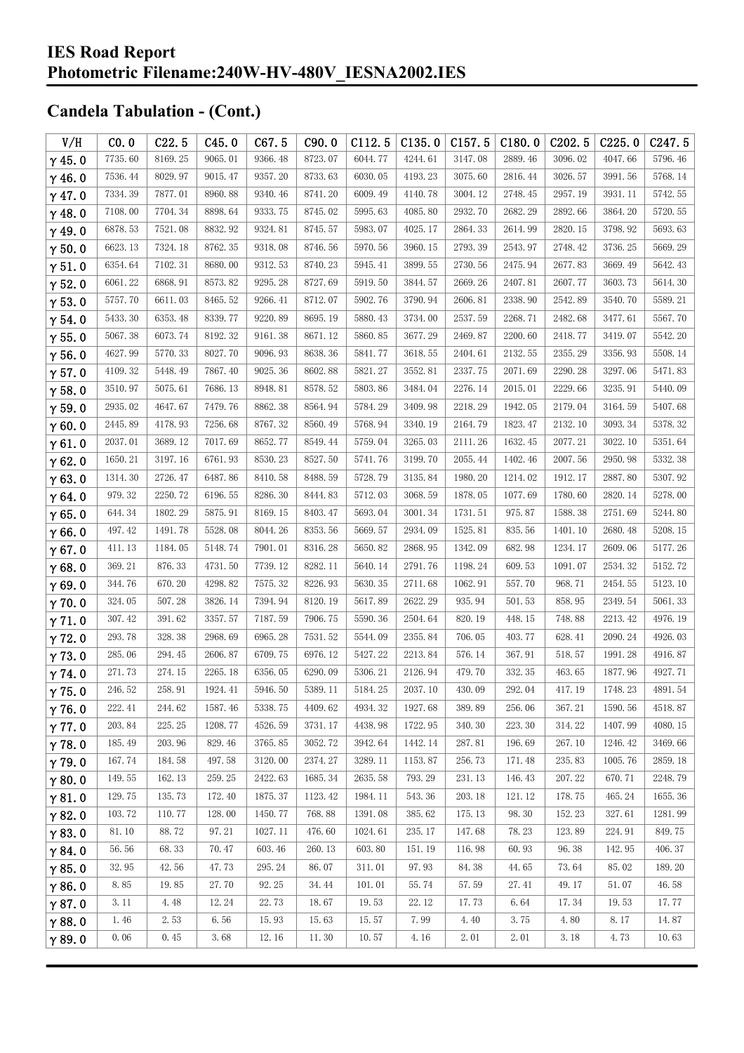| V/H           | CO.0    | C22.5   | C45.0   | C67.5   | C90.0   | C112.5      | C135.0  | C157.5  | C180.0  | C <sub>202.5</sub> | C225.0  | C <sub>247.5</sub> |
|---------------|---------|---------|---------|---------|---------|-------------|---------|---------|---------|--------------------|---------|--------------------|
| $\gamma$ 45.0 | 7735.60 | 8169.25 | 9065.01 | 9366.48 | 8723.07 | 6044.77     | 4244.61 | 3147.08 | 2889.46 | 3096.02            | 4047.66 | 5796.46            |
| $\gamma$ 46.0 | 7536.44 | 8029.97 | 9015.47 | 9357.20 | 8733.63 | 6030.05     | 4193.23 | 3075.60 | 2816.44 | 3026.57            | 3991.56 | 5768.14            |
| $\gamma$ 47.0 | 7334.39 | 7877.01 | 8960.88 | 9340.46 | 8741.20 | 6009.49     | 4140.78 | 3004.12 | 2748.45 | 2957.19            | 3931.11 | 5742.55            |
| $\gamma$ 48.0 | 7108.00 | 7704.34 | 8898.64 | 9333.75 | 8745.02 | 5995.63     | 4085.80 | 2932.70 | 2682.29 | 2892.66            | 3864.20 | 5720.55            |
| $\gamma$ 49.0 | 6878.53 | 7521.08 | 8832.92 | 9324.81 | 8745.57 | 5983.07     | 4025.17 | 2864.33 | 2614.99 | 2820.15            | 3798.92 | 5693.63            |
| $\gamma$ 50.0 | 6623.13 | 7324.18 | 8762.35 | 9318.08 | 8746.56 | 5970.56     | 3960.15 | 2793.39 | 2543.97 | 2748.42            | 3736.25 | 5669.29            |
| $\gamma$ 51.0 | 6354.64 | 7102.31 | 8680.00 | 9312.53 | 8740.23 | 5945.41     | 3899.55 | 2730.56 | 2475.94 | 2677.83            | 3669.49 | 5642.43            |
| $\gamma$ 52.0 | 6061.22 | 6868.91 | 8573.82 | 9295.28 | 8727.69 | 5919.50     | 3844.57 | 2669.26 | 2407.81 | 2607.77            | 3603.73 | 5614.30            |
| $\gamma$ 53.0 | 5757.70 | 6611.03 | 8465.52 | 9266.41 | 8712.07 | 5902.76     | 3790.94 | 2606.81 | 2338.90 | 2542.89            | 3540.70 | 5589.21            |
| $\gamma$ 54.0 | 5433.30 | 6353.48 | 8339.77 | 9220.89 | 8695.19 | 5880.43     | 3734.00 | 2537.59 | 2268.71 | 2482.68            | 3477.61 | 5567.70            |
| $\gamma$ 55.0 | 5067.38 | 6073.74 | 8192.32 | 9161.38 | 8671.12 | 5860.85     | 3677.29 | 2469.87 | 2200.60 | 2418.77            | 3419.07 | 5542.20            |
| $\gamma$ 56.0 | 4627.99 | 5770.33 | 8027.70 | 9096.93 | 8638.36 | 5841.77     | 3618.55 | 2404.61 | 2132.55 | 2355.29            | 3356.93 | 5508.14            |
| $\gamma$ 57.0 | 4109.32 | 5448.49 | 7867.40 | 9025.36 | 8602.88 | 5821.27     | 3552.81 | 2337.75 | 2071.69 | 2290.28            | 3297.06 | 5471.83            |
| $\gamma$ 58.0 | 3510.97 | 5075.61 | 7686.13 | 8948.81 | 8578.52 | 5803.86     | 3484.04 | 2276.14 | 2015.01 | 2229.66            | 3235.91 | 5440.09            |
| $\gamma$ 59.0 | 2935.02 | 4647.67 | 7479.76 | 8862.38 | 8564.94 | 5784.29     | 3409.98 | 2218.29 | 1942.05 | 2179.04            | 3164.59 | 5407.68            |
| $\gamma$ 60.0 | 2445.89 | 4178.93 | 7256.68 | 8767.32 | 8560.49 | 5768.94     | 3340.19 | 2164.79 | 1823.47 | 2132.10            | 3093.34 | 5378.32            |
| $\gamma$ 61.0 | 2037.01 | 3689.12 | 7017.69 | 8652.77 | 8549.44 | 5759.04     | 3265.03 | 2111.26 | 1632.45 | 2077.21            | 3022.10 | 5351.64            |
| $\gamma$ 62.0 | 1650.21 | 3197.16 | 6761.93 | 8530.23 | 8527.50 | 5741.76     | 3199.70 | 2055.44 | 1402.46 | 2007.56            | 2950.98 | 5332.38            |
| $\gamma$ 63.0 | 1314.30 | 2726.47 | 6487.86 | 8410.58 | 8488.59 | 5728.79     | 3135.84 | 1980.20 | 1214.02 | 1912.17            | 2887.80 | 5307.92            |
| $\gamma$ 64.0 | 979.32  | 2250.72 | 6196.55 | 8286.30 | 8444.83 | 5712.03     | 3068.59 | 1878.05 | 1077.69 | 1780.60            | 2820.14 | 5278.00            |
| $\gamma$ 65.0 | 644.34  | 1802.29 | 5875.91 | 8169.15 | 8403.47 | 5693.04     | 3001.34 | 1731.51 | 975.87  | 1588.38            | 2751.69 | 5244.80            |
| $\gamma$ 66.0 | 497.42  | 1491.78 | 5528.08 | 8044.26 | 8353.56 | 5669.57     | 2934.09 | 1525.81 | 835.56  | 1401.10            | 2680.48 | 5208.15            |
| $\gamma$ 67.0 | 411.13  | 1184.05 | 5148.74 | 7901.01 | 8316.28 | 5650.82     | 2868.95 | 1342.09 | 682.98  | 1234.17            | 2609.06 | 5177.26            |
| $\gamma$ 68.0 | 369.21  | 876.33  | 4731.50 | 7739.12 | 8282.11 | 5640.14     | 2791.76 | 1198.24 | 609.53  | 1091.07            | 2534.32 | 5152.72            |
| $\gamma$ 69.0 | 344.76  | 670.20  | 4298.82 | 7575.32 | 8226.93 | 5630.35     | 2711.68 | 1062.91 | 557.70  | 968.71             | 2454.55 | 5123.10            |
| $\gamma$ 70.0 | 324.05  | 507.28  | 3826.14 | 7394.94 | 8120.19 | 5617.89     | 2622.29 | 935.94  | 501.53  | 858.95             | 2349.54 | 5061.33            |
| $\gamma$ 71.0 | 307.42  | 391.62  | 3357.57 | 7187.59 | 7906.75 | 5590.36     | 2504.64 | 820.19  | 448.15  | 748.88             | 2213.42 | 4976.19            |
| $\gamma$ 72.0 | 293.78  | 328.38  | 2968.69 | 6965.28 | 7531.52 | 5544.09     | 2355.84 | 706.05  | 403.77  | 628.41             | 2090.24 | 4926.03            |
| $\gamma$ 73.0 | 285.06  | 294.45  | 2606.87 | 6709.75 | 6976.12 | 5427.22     | 2213.84 | 576.14  | 367.91  | 518.57             | 1991.28 | 4916.87            |
| $\gamma$ 74.0 | 271.73  | 274.15  | 2265.18 | 6356.05 | 6290.09 | 5306.21     | 2126.94 | 479.70  | 332.35  | 463.65             | 1877.96 | 4927.71            |
| $\gamma$ 75.0 | 246.52  | 258.91  | 1924.41 | 5946.50 | 5389.11 | $5184.\,25$ | 2037.10 | 430.09  | 292.04  | 417.19             | 1748.23 | 4891.54            |
| $\gamma$ 76.0 | 222.41  | 244.62  | 1587.46 | 5338.75 | 4409.62 | 4934.32     | 1927.68 | 389.89  | 256.06  | 367.21             | 1590.56 | 4518.87            |
| $\gamma$ 77.0 | 203.84  | 225.25  | 1208.77 | 4526.59 | 3731.17 | 4438.98     | 1722.95 | 340.30  | 223.30  | 314.22             | 1407.99 | 4080.15            |
| $\gamma$ 78.0 | 185.49  | 203.96  | 829.46  | 3765.85 | 3052.72 | 3942.64     | 1442.14 | 287.81  | 196.69  | 267.10             | 1246.42 | 3469.66            |
| $\gamma$ 79.0 | 167.74  | 184.58  | 497.58  | 3120.00 | 2374.27 | 3289.11     | 1153.87 | 256.73  | 171.48  | 235.83             | 1005.76 | 2859.18            |
| $\gamma$ 80.0 | 149.55  | 162.13  | 259.25  | 2422.63 | 1685.34 | 2635.58     | 793.29  | 231.13  | 146.43  | 207.22             | 670.71  | 2248.79            |
| $\gamma$ 81.0 | 129.75  | 135.73  | 172.40  | 1875.37 | 1123.42 | 1984.11     | 543.36  | 203.18  | 121.12  | 178.75             | 465.24  | 1655.36            |
| $\gamma$ 82.0 | 103.72  | 110.77  | 128.00  | 1450.77 | 768.88  | 1391.08     | 385.62  | 175.13  | 98.30   | 152.23             | 327.61  | 1281.99            |
| $\gamma$ 83.0 | 81.10   | 88.72   | 97.21   | 1027.11 | 476.60  | 1024.61     | 235.17  | 147.68  | 78.23   | 123.89             | 224.91  | 849.75             |
| $\gamma$ 84.0 | 56.56   | 68.33   | 70.47   | 603.46  | 260.13  | 603.80      | 151.19  | 116.98  | 60.93   | 96.38              | 142.95  | 406.37             |
| $\gamma$ 85.0 | 32.95   | 42.56   | 47.73   | 295.24  | 86.07   | 311.01      | 97.93   | 84.38   | 44.65   | 73.64              | 85.02   | 189.20             |
| $\gamma$ 86.0 | 8.85    | 19.85   | 27.70   | 92.25   | 34.44   | 101.01      | 55.74   | 57.59   | 27.41   | 49.17              | 51.07   | 46.58              |
| $\gamma$ 87.0 | 3.11    | 4.48    | 12.24   | 22.73   | 18.67   | 19.53       | 22.12   | 17.73   | 6.64    | 17.34              | 19.53   | 17.77              |
| $\gamma$ 88.0 | 1.46    | 2.53    | 6.56    | 15.93   | 15.63   | 15.57       | 7.99    | 4.40    | 3.75    | 4.80               | 8.17    | 14.87              |
| $\gamma$ 89.0 | 0.06    | 0.45    | 3.68    | 12.16   | 11.30   | 10.57       | 4.16    | 2.01    | 2.01    | 3.18               | 4.73    | 10.63              |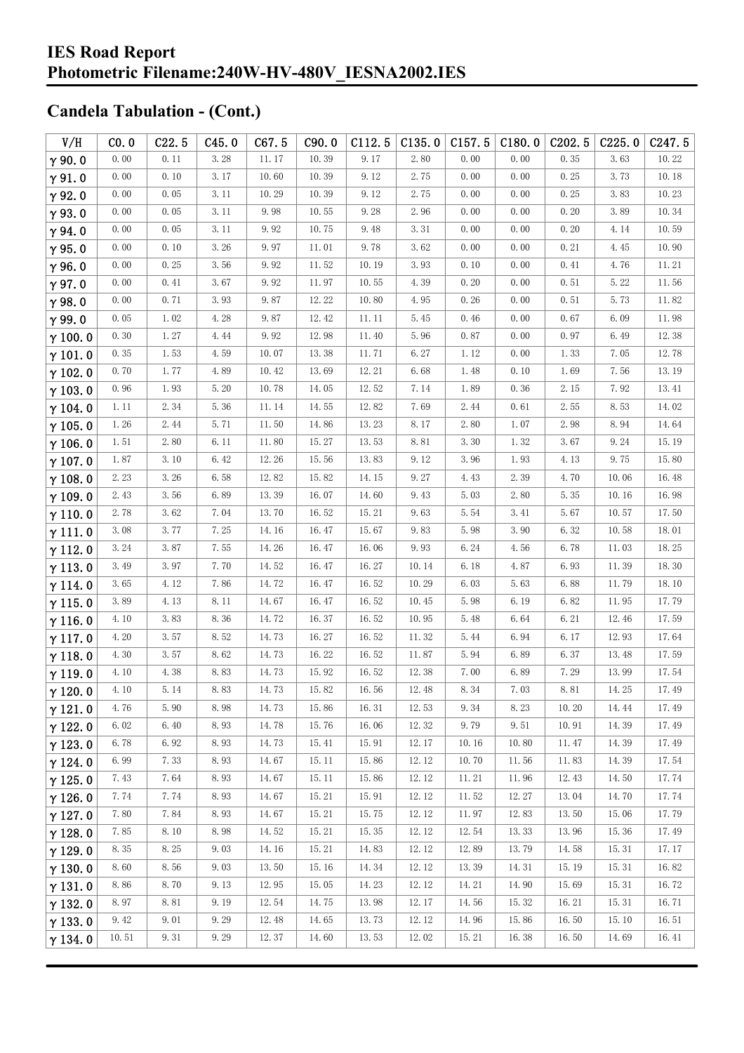| V/H            | CO.0  | C22.5 | C45.0 | C67.5 | C90.0 | C112.5 | C135.0 | C157.5 | C180.0 | C <sub>202.5</sub> | C225.0 | C <sub>247.5</sub> |
|----------------|-------|-------|-------|-------|-------|--------|--------|--------|--------|--------------------|--------|--------------------|
| $\gamma$ 90.0  | 0.00  | 0.11  | 3.28  | 11.17 | 10.39 | 9.17   | 2.80   | 0.00   | 0.00   | 0.35               | 3.63   | 10.22              |
| $\gamma$ 91.0  | 0.00  | 0.10  | 3.17  | 10.60 | 10.39 | 9.12   | 2.75   | 0.00   | 0.00   | 0.25               | 3.73   | 10.18              |
| $\gamma$ 92.0  | 0.00  | 0.05  | 3.11  | 10.29 | 10.39 | 9.12   | 2.75   | 0.00   | 0.00   | 0.25               | 3.83   | 10.23              |
| $\gamma$ 93.0  | 0.00  | 0.05  | 3.11  | 9.98  | 10.55 | 9.28   | 2.96   | 0.00   | 0.00   | 0.20               | 3.89   | 10.34              |
| $\gamma$ 94.0  | 0.00  | 0.05  | 3.11  | 9.92  | 10.75 | 9.48   | 3.31   | 0.00   | 0.00   | 0.20               | 4.14   | 10.59              |
| $\gamma$ 95.0  | 0.00  | 0.10  | 3.26  | 9.97  | 11.01 | 9.78   | 3.62   | 0.00   | 0.00   | 0.21               | 4.45   | 10.90              |
| $\gamma$ 96.0  | 0.00  | 0.25  | 3.56  | 9.92  | 11.52 | 10.19  | 3.93   | 0.10   | 0.00   | 0.41               | 4.76   | 11.21              |
| $\gamma$ 97.0  | 0.00  | 0.41  | 3.67  | 9.92  | 11.97 | 10.55  | 4.39   | 0.20   | 0.00   | 0.51               | 5.22   | 11.56              |
| $\gamma$ 98.0  | 0.00  | 0.71  | 3.93  | 9.87  | 12.22 | 10.80  | 4.95   | 0.26   | 0.00   | 0.51               | 5.73   | 11.82              |
| $\gamma$ 99.0  | 0.05  | 1.02  | 4.28  | 9.87  | 12.42 | 11.11  | 5.45   | 0.46   | 0.00   | 0.67               | 6.09   | 11.98              |
| $\gamma$ 100.0 | 0.30  | 1.27  | 4.44  | 9.92  | 12.98 | 11.40  | 5.96   | 0.87   | 0.00   | 0.97               | 6.49   | 12.38              |
| $\gamma$ 101.0 | 0.35  | 1.53  | 4.59  | 10.07 | 13.38 | 11.71  | 6.27   | 1.12   | 0.00   | 1.33               | 7.05   | 12.78              |
| $\gamma$ 102.0 | 0.70  | 1.77  | 4.89  | 10.42 | 13.69 | 12.21  | 6.68   | 1.48   | 0.10   | 1.69               | 7.56   | 13.19              |
| $\gamma$ 103.0 | 0.96  | 1.93  | 5.20  | 10.78 | 14.05 | 12.52  | 7.14   | 1.89   | 0.36   | 2.15               | 7.92   | 13.41              |
| $\gamma$ 104.0 | 1.11  | 2.34  | 5.36  | 11.14 | 14.55 | 12.82  | 7.69   | 2.44   | 0.61   | 2.55               | 8.53   | 14.02              |
| $\gamma$ 105.0 | 1.26  | 2.44  | 5.71  | 11.50 | 14.86 | 13.23  | 8.17   | 2.80   | 1.07   | 2.98               | 8.94   | 14.64              |
| $\gamma$ 106.0 | 1.51  | 2.80  | 6.11  | 11.80 | 15.27 | 13.53  | 8.81   | 3.30   | 1.32   | 3.67               | 9.24   | 15.19              |
| $\gamma$ 107.0 | 1.87  | 3.10  | 6.42  | 12.26 | 15.56 | 13.83  | 9.12   | 3.96   | 1.93   | 4.13               | 9.75   | 15.80              |
| $\gamma$ 108.0 | 2.23  | 3.26  | 6.58  | 12.82 | 15.82 | 14.15  | 9.27   | 4.43   | 2.39   | 4.70               | 10.06  | 16.48              |
| $\gamma$ 109.0 | 2.43  | 3.56  | 6.89  | 13.39 | 16.07 | 14.60  | 9.43   | 5.03   | 2.80   | 5.35               | 10.16  | 16.98              |
| $\gamma$ 110.0 | 2.78  | 3.62  | 7.04  | 13.70 | 16.52 | 15.21  | 9.63   | 5.54   | 3.41   | 5.67               | 10.57  | 17.50              |
| $\gamma$ 111.0 | 3.08  | 3.77  | 7.25  | 14.16 | 16.47 | 15.67  | 9.83   | 5.98   | 3.90   | 6.32               | 10.58  | 18.01              |
| $\gamma$ 112.0 | 3.24  | 3.87  | 7.55  | 14.26 | 16.47 | 16.06  | 9.93   | 6.24   | 4.56   | 6.78               | 11.03  | 18.25              |
| $\gamma$ 113.0 | 3.49  | 3.97  | 7.70  | 14.52 | 16.47 | 16.27  | 10.14  | 6.18   | 4.87   | 6.93               | 11.39  | 18.30              |
| $\gamma$ 114.0 | 3.65  | 4.12  | 7.86  | 14.72 | 16.47 | 16.52  | 10.29  | 6.03   | 5.63   | 6.88               | 11.79  | 18.10              |
| $\gamma$ 115.0 | 3.89  | 4.13  | 8.11  | 14.67 | 16.47 | 16.52  | 10.45  | 5.98   | 6.19   | 6.82               | 11.95  | 17.79              |
| $\gamma$ 116.0 | 4.10  | 3.83  | 8.36  | 14.72 | 16.37 | 16.52  | 10.95  | 5.48   | 6.64   | 6.21               | 12.46  | 17.59              |
| $\gamma$ 117.0 | 4.20  | 3.57  | 8.52  | 14.73 | 16.27 | 16.52  | 11.32  | 5.44   | 6.94   | 6.17               | 12.93  | 17.64              |
| $\gamma$ 118.0 | 4.30  | 3.57  | 8.62  | 14.73 | 16.22 | 16.52  | 11.87  | 5.94   | 6.89   | 6.37               | 13.48  | 17.59              |
| $\gamma$ 119.0 | 4.10  | 4.38  | 8.83  | 14.73 | 15.92 | 16.52  | 12.38  | 7.00   | 6.89   | 7.29               | 13.99  | 17.54              |
| $\gamma$ 120.0 | 4.10  | 5.14  | 8.83  | 14.73 | 15.82 | 16.56  | 12.48  | 8.34   | 7.03   | 8.81               | 14.25  | 17.49              |
| $\gamma$ 121.0 | 4.76  | 5.90  | 8.98  | 14.73 | 15.86 | 16.31  | 12.53  | 9.34   | 8.23   | 10.20              | 14.44  | 17.49              |
| $\gamma$ 122.0 | 6.02  | 6.40  | 8.93  | 14.78 | 15.76 | 16.06  | 12.32  | 9.79   | 9.51   | 10.91              | 14.39  | 17.49              |
| $\gamma$ 123.0 | 6.78  | 6.92  | 8.93  | 14.73 | 15.41 | 15.91  | 12.17  | 10.16  | 10.80  | 11.47              | 14.39  | 17.49              |
| $\gamma$ 124.0 | 6.99  | 7.33  | 8.93  | 14.67 | 15.11 | 15.86  | 12.12  | 10.70  | 11.56  | 11.83              | 14.39  | 17.54              |
| $\gamma$ 125.0 | 7.43  | 7.64  | 8.93  | 14.67 | 15.11 | 15.86  | 12.12  | 11.21  | 11.96  | 12.43              | 14.50  | 17.74              |
| $\gamma$ 126.0 | 7.74  | 7.74  | 8.93  | 14.67 | 15.21 | 15.91  | 12.12  | 11.52  | 12.27  | 13.04              | 14.70  | 17.74              |
| $\gamma$ 127.0 | 7.80  | 7.84  | 8.93  | 14.67 | 15.21 | 15.75  | 12.12  | 11.97  | 12.83  | 13.50              | 15.06  | 17.79              |
| $\gamma$ 128.0 | 7.85  | 8.10  | 8.98  | 14.52 | 15.21 | 15.35  | 12.12  | 12.54  | 13.33  | 13.96              | 15.36  | 17.49              |
| $\gamma$ 129.0 | 8.35  | 8.25  | 9.03  | 14.16 | 15.21 | 14.83  | 12.12  | 12.89  | 13.79  | 14.58              | 15.31  | 17.17              |
| $\gamma$ 130.0 | 8.60  | 8.56  | 9.03  | 13.50 | 15.16 | 14.34  | 12.12  | 13.39  | 14.31  | 15.19              | 15.31  | 16.82              |
| $\gamma$ 131.0 | 8.86  | 8.70  | 9.13  | 12.95 | 15.05 | 14.23  | 12.12  | 14.21  | 14.90  | 15.69              | 15.31  | 16.72              |
| $\gamma$ 132.0 | 8.97  | 8.81  | 9.19  | 12.54 | 14.75 | 13.98  | 12.17  | 14.56  | 15.32  | 16.21              | 15.31  | 16.71              |
| $\gamma$ 133.0 | 9.42  | 9.01  | 9.29  | 12.48 | 14.65 | 13.73  | 12.12  | 14.96  | 15.86  | 16.50              | 15.10  | 16.51              |
| $\gamma$ 134.0 | 10.51 | 9.31  | 9.29  | 12.37 | 14.60 | 13.53  | 12.02  | 15.21  | 16.38  | 16.50              | 14.69  | 16.41              |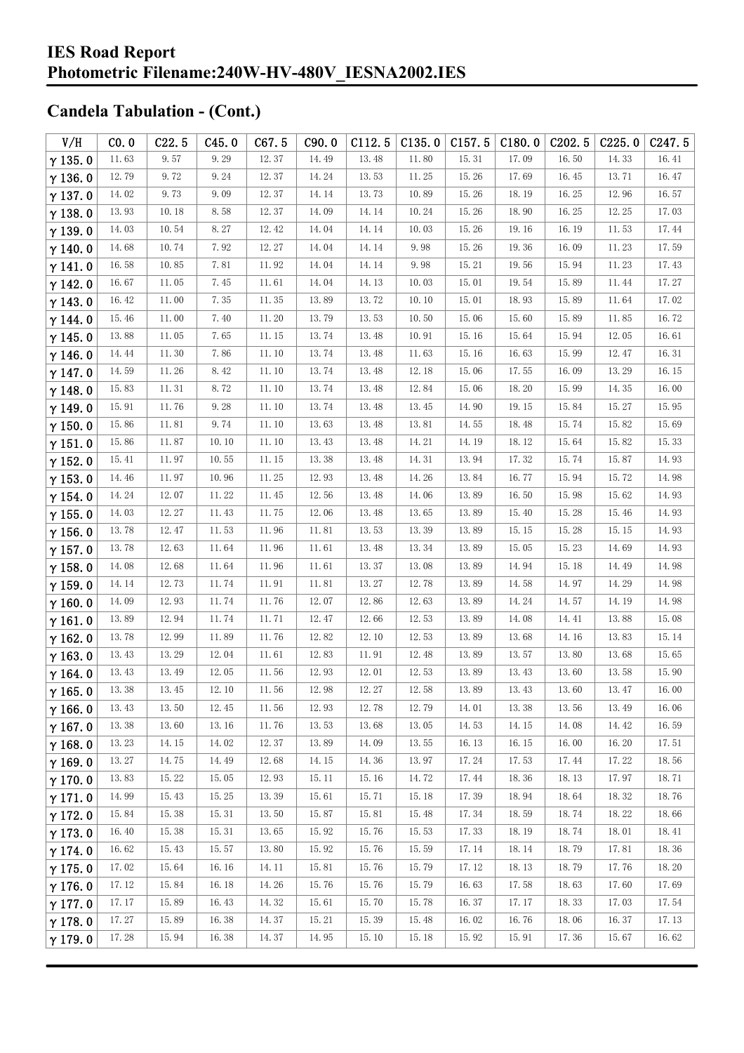| V/H            | CO.0  | C22.5 | C45.0 | C67.5 | C90.0 | C112.5 | C135.0 | C157.5 | C180.0 | C <sub>2</sub> 02.5 | C225.0 | C <sub>247.5</sub> |
|----------------|-------|-------|-------|-------|-------|--------|--------|--------|--------|---------------------|--------|--------------------|
| $\gamma$ 135.0 | 11.63 | 9.57  | 9.29  | 12.37 | 14.49 | 13.48  | 11.80  | 15.31  | 17.09  | 16.50               | 14.33  | 16.41              |
| $\gamma$ 136.0 | 12.79 | 9.72  | 9.24  | 12.37 | 14.24 | 13.53  | 11.25  | 15.26  | 17.69  | 16.45               | 13.71  | 16.47              |
| $\gamma$ 137.0 | 14.02 | 9.73  | 9.09  | 12.37 | 14.14 | 13.73  | 10.89  | 15.26  | 18.19  | 16.25               | 12.96  | 16.57              |
| $\gamma$ 138.0 | 13.93 | 10.18 | 8.58  | 12.37 | 14.09 | 14.14  | 10.24  | 15.26  | 18.90  | 16.25               | 12.25  | 17.03              |
| $\gamma$ 139.0 | 14.03 | 10.54 | 8.27  | 12.42 | 14.04 | 14.14  | 10.03  | 15.26  | 19.16  | 16.19               | 11.53  | 17.44              |
| $\gamma$ 140.0 | 14.68 | 10.74 | 7.92  | 12.27 | 14.04 | 14.14  | 9.98   | 15.26  | 19.36  | 16.09               | 11.23  | 17.59              |
| $\gamma$ 141.0 | 16.58 | 10.85 | 7.81  | 11.92 | 14.04 | 14.14  | 9.98   | 15.21  | 19.56  | 15.94               | 11.23  | 17.43              |
| $\gamma$ 142.0 | 16.67 | 11.05 | 7.45  | 11.61 | 14.04 | 14.13  | 10.03  | 15.01  | 19.54  | 15.89               | 11.44  | 17.27              |
| $\gamma$ 143.0 | 16.42 | 11.00 | 7.35  | 11.35 | 13.89 | 13.72  | 10.10  | 15.01  | 18.93  | 15.89               | 11.64  | 17.02              |
| $\gamma$ 144.0 | 15.46 | 11.00 | 7.40  | 11.20 | 13.79 | 13.53  | 10.50  | 15.06  | 15.60  | 15.89               | 11.85  | 16.72              |
| $\gamma$ 145.0 | 13.88 | 11.05 | 7.65  | 11.15 | 13.74 | 13.48  | 10.91  | 15.16  | 15.64  | 15.94               | 12.05  | 16.61              |
| $\gamma$ 146.0 | 14.44 | 11.30 | 7.86  | 11.10 | 13.74 | 13.48  | 11.63  | 15.16  | 16.63  | 15.99               | 12.47  | 16.31              |
| $\gamma$ 147.0 | 14.59 | 11.26 | 8.42  | 11.10 | 13.74 | 13.48  | 12.18  | 15.06  | 17.55  | 16.09               | 13.29  | 16.15              |
| $\gamma$ 148.0 | 15.83 | 11.31 | 8.72  | 11.10 | 13.74 | 13.48  | 12.84  | 15.06  | 18.20  | 15.99               | 14.35  | 16.00              |
| $\gamma$ 149.0 | 15.91 | 11.76 | 9.28  | 11.10 | 13.74 | 13.48  | 13.45  | 14.90  | 19.15  | 15.84               | 15.27  | 15.95              |
| $\gamma$ 150.0 | 15.86 | 11.81 | 9.74  | 11.10 | 13.63 | 13.48  | 13.81  | 14.55  | 18.48  | 15.74               | 15.82  | 15.69              |
| $\gamma$ 151.0 | 15.86 | 11.87 | 10.10 | 11.10 | 13.43 | 13.48  | 14.21  | 14.19  | 18.12  | 15.64               | 15.82  | 15.33              |
| $\gamma$ 152.0 | 15.41 | 11.97 | 10.55 | 11.15 | 13.38 | 13.48  | 14.31  | 13.94  | 17.32  | 15.74               | 15.87  | 14.93              |
| $\gamma$ 153.0 | 14.46 | 11.97 | 10.96 | 11.25 | 12.93 | 13.48  | 14.26  | 13.84  | 16.77  | 15.94               | 15.72  | 14.98              |
| $\gamma$ 154.0 | 14.24 | 12.07 | 11.22 | 11.45 | 12.56 | 13.48  | 14.06  | 13.89  | 16.50  | 15.98               | 15.62  | 14.93              |
| $\gamma$ 155.0 | 14.03 | 12.27 | 11.43 | 11.75 | 12.06 | 13.48  | 13.65  | 13.89  | 15.40  | 15.28               | 15.46  | 14.93              |
| $\gamma$ 156.0 | 13.78 | 12.47 | 11.53 | 11.96 | 11.81 | 13.53  | 13.39  | 13.89  | 15.15  | 15.28               | 15.15  | 14.93              |
| $\gamma$ 157.0 | 13.78 | 12.63 | 11.64 | 11.96 | 11.61 | 13.48  | 13.34  | 13.89  | 15.05  | 15.23               | 14.69  | 14.93              |
| $\gamma$ 158.0 | 14.08 | 12.68 | 11.64 | 11.96 | 11.61 | 13.37  | 13.08  | 13.89  | 14.94  | 15.18               | 14.49  | 14.98              |
| $\gamma$ 159.0 | 14.14 | 12.73 | 11.74 | 11.91 | 11.81 | 13.27  | 12.78  | 13.89  | 14.58  | 14.97               | 14.29  | 14.98              |
| $\gamma$ 160.0 | 14.09 | 12.93 | 11.74 | 11.76 | 12.07 | 12.86  | 12.63  | 13.89  | 14.24  | 14.57               | 14.19  | 14.98              |
| $\gamma$ 161.0 | 13.89 | 12.94 | 11.74 | 11.71 | 12.47 | 12.66  | 12.53  | 13.89  | 14.08  | 14.41               | 13.88  | 15.08              |
| $\gamma$ 162.0 | 13.78 | 12.99 | 11.89 | 11.76 | 12.82 | 12.10  | 12.53  | 13.89  | 13.68  | 14.16               | 13.83  | 15.14              |
| $\gamma$ 163.0 | 13.43 | 13.29 | 12.04 | 11.61 | 12.83 | 11.91  | 12.48  | 13.89  | 13.57  | 13.80               | 13.68  | 15.65              |
| $\gamma$ 164.0 | 13.43 | 13.49 | 12.05 | 11.56 | 12.93 | 12.01  | 12.53  | 13.89  | 13.43  | 13.60               | 13.58  | 15.90              |
| $\gamma$ 165.0 | 13.38 | 13.45 | 12.10 | 11.56 | 12.98 | 12.27  | 12.58  | 13.89  | 13.43  | 13.60               | 13.47  | 16.00              |
| $\gamma$ 166.0 | 13.43 | 13.50 | 12.45 | 11.56 | 12.93 | 12.78  | 12.79  | 14.01  | 13.38  | 13.56               | 13.49  | 16.06              |
| $\gamma$ 167.0 | 13.38 | 13.60 | 13.16 | 11.76 | 13.53 | 13.68  | 13.05  | 14.53  | 14.15  | 14.08               | 14.42  | 16.59              |
| $\gamma$ 168.0 | 13.23 | 14.15 | 14.02 | 12.37 | 13.89 | 14.09  | 13.55  | 16.13  | 16.15  | 16.00               | 16.20  | 17.51              |
| $\gamma$ 169.0 | 13.27 | 14.75 | 14.49 | 12.68 | 14.15 | 14.36  | 13.97  | 17.24  | 17.53  | 17.44               | 17.22  | 18.56              |
| $\gamma$ 170.0 | 13.83 | 15.22 | 15.05 | 12.93 | 15.11 | 15.16  | 14.72  | 17.44  | 18.36  | 18.13               | 17.97  | 18.71              |
| $\gamma$ 171.0 | 14.99 | 15.43 | 15.25 | 13.39 | 15.61 | 15.71  | 15.18  | 17.39  | 18.94  | 18.64               | 18.32  | 18.76              |
| $\gamma$ 172.0 | 15.84 | 15.38 | 15.31 | 13.50 | 15.87 | 15.81  | 15.48  | 17.34  | 18.59  | 18.74               | 18.22  | 18.66              |
| $\gamma$ 173.0 | 16.40 | 15.38 | 15.31 | 13.65 | 15.92 | 15.76  | 15.53  | 17.33  | 18.19  | 18.74               | 18.01  | 18.41              |
| $\gamma$ 174.0 | 16.62 | 15.43 | 15.57 | 13.80 | 15.92 | 15.76  | 15.59  | 17.14  | 18.14  | 18.79               | 17.81  | 18.36              |
| $\gamma$ 175.0 | 17.02 | 15.64 | 16.16 | 14.11 | 15.81 | 15.76  | 15.79  | 17.12  | 18.13  | 18.79               | 17.76  | 18.20              |
| $\gamma$ 176.0 | 17.12 | 15.84 | 16.18 | 14.26 | 15.76 | 15.76  | 15.79  | 16.63  | 17.58  | 18.63               | 17.60  | 17.69              |
| $\gamma$ 177.0 | 17.17 | 15.89 | 16.43 | 14.32 | 15.61 | 15.70  | 15.78  | 16.37  | 17.17  | 18.33               | 17.03  | 17.54              |
| $\gamma$ 178.0 | 17.27 | 15.89 | 16.38 | 14.37 | 15.21 | 15.39  | 15.48  | 16.02  | 16.76  | 18.06               | 16.37  | 17.13              |
| $\gamma$ 179.0 | 17.28 | 15.94 | 16.38 | 14.37 | 14.95 | 15.10  | 15.18  | 15.92  | 15.91  | 17.36               | 15.67  | 16.62              |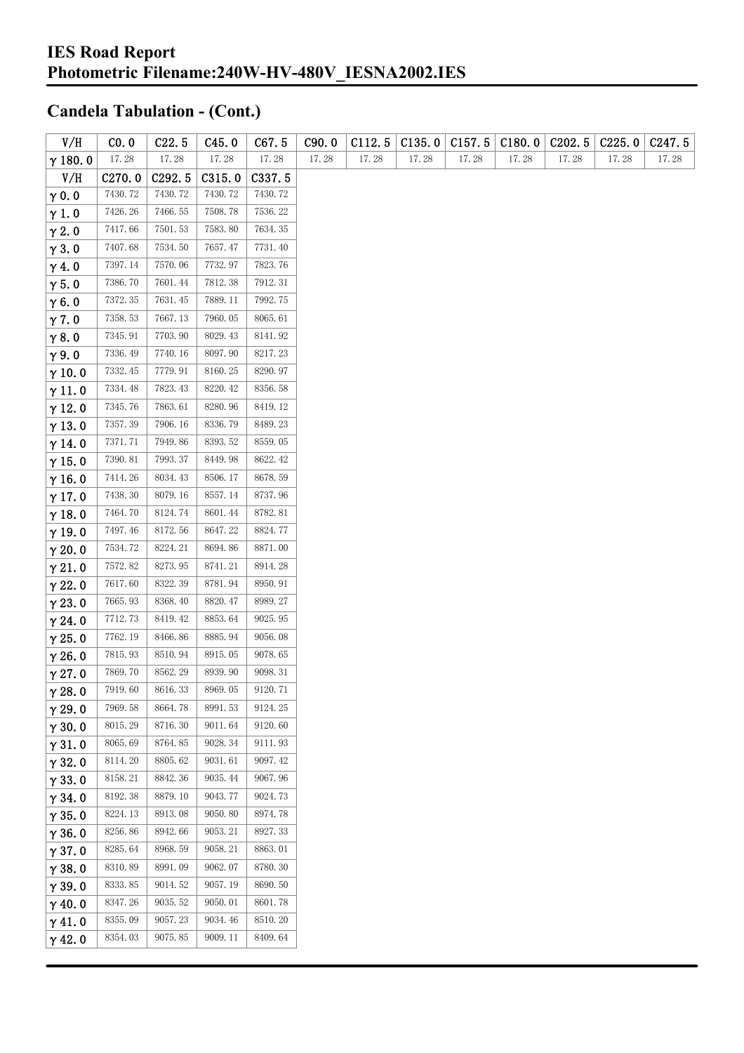| V/H            | CO.0    | C22.5   | C45.0   | C67.5   | C90.0 | C112.5 | C135.0 | C157.5 | C180.0 | C <sub>2</sub> 02.5 | C225.0 | C <sub>247.5</sub> |
|----------------|---------|---------|---------|---------|-------|--------|--------|--------|--------|---------------------|--------|--------------------|
| $\gamma$ 180.0 | 17.28   | 17.28   | 17.28   | 17.28   | 17.28 | 17.28  | 17.28  | 17.28  | 17.28  | 17.28               | 17.28  | 17.28              |
| V/H            | C270.0  | C292.5  | C315.0  | C337.5  |       |        |        |        |        |                     |        |                    |
| $\gamma$ 0.0   | 7430.72 | 7430.72 | 7430.72 | 7430.72 |       |        |        |        |        |                     |        |                    |
| $\gamma$ 1.0   | 7426.26 | 7466.55 | 7508.78 | 7536.22 |       |        |        |        |        |                     |        |                    |
| $\gamma$ 2.0   | 7417.66 | 7501.53 | 7583.80 | 7634.35 |       |        |        |        |        |                     |        |                    |
| $\gamma$ 3.0   | 7407.68 | 7534.50 | 7657.47 | 7731.40 |       |        |        |        |        |                     |        |                    |
| $\gamma$ 4.0   | 7397.14 | 7570.06 | 7732.97 | 7823.76 |       |        |        |        |        |                     |        |                    |
| $\gamma$ 5.0   | 7386.70 | 7601.44 | 7812.38 | 7912.31 |       |        |        |        |        |                     |        |                    |
| $\gamma$ 6.0   | 7372.35 | 7631.45 | 7889.11 | 7992.75 |       |        |        |        |        |                     |        |                    |
| $\gamma$ 7.0   | 7358.53 | 7667.13 | 7960.05 | 8065.61 |       |        |        |        |        |                     |        |                    |
| $\gamma$ 8.0   | 7345.91 | 7703.90 | 8029.43 | 8141.92 |       |        |        |        |        |                     |        |                    |
| $\gamma$ 9.0   | 7336.49 | 7740.16 | 8097.90 | 8217.23 |       |        |        |        |        |                     |        |                    |
| $\gamma$ 10.0  | 7332.45 | 7779.91 | 8160.25 | 8290.97 |       |        |        |        |        |                     |        |                    |
| $\gamma$ 11.0  | 7334.48 | 7823.43 | 8220.42 | 8356.58 |       |        |        |        |        |                     |        |                    |
| $\gamma$ 12.0  | 7345.76 | 7863.61 | 8280.96 | 8419.12 |       |        |        |        |        |                     |        |                    |
| $\gamma$ 13.0  | 7357.39 | 7906.16 | 8336.79 | 8489.23 |       |        |        |        |        |                     |        |                    |
| $\gamma$ 14.0  | 7371.71 | 7949.86 | 8393.52 | 8559.05 |       |        |        |        |        |                     |        |                    |
| $\gamma$ 15.0  | 7390.81 | 7993.37 | 8449.98 | 8622.42 |       |        |        |        |        |                     |        |                    |
| $\gamma$ 16.0  | 7414.26 | 8034.43 | 8506.17 | 8678.59 |       |        |        |        |        |                     |        |                    |
| $\gamma$ 17.0  | 7438.30 | 8079.16 | 8557.14 | 8737.96 |       |        |        |        |        |                     |        |                    |
| $\gamma$ 18.0  | 7464.70 | 8124.74 | 8601.44 | 8782.81 |       |        |        |        |        |                     |        |                    |
| $\gamma$ 19.0  | 7497.46 | 8172.56 | 8647.22 | 8824.77 |       |        |        |        |        |                     |        |                    |
| $\gamma$ 20.0  | 7534.72 | 8224.21 | 8694.86 | 8871.00 |       |        |        |        |        |                     |        |                    |
| $\gamma$ 21.0  | 7572.82 | 8273.95 | 8741.21 | 8914.28 |       |        |        |        |        |                     |        |                    |
| $\gamma$ 22.0  | 7617.60 | 8322.39 | 8781.94 | 8950.91 |       |        |        |        |        |                     |        |                    |
| $\gamma$ 23.0  | 7665.93 | 8368.40 | 8820.47 | 8989.27 |       |        |        |        |        |                     |        |                    |
| $\gamma$ 24.0  | 7712.73 | 8419.42 | 8853.64 | 9025.95 |       |        |        |        |        |                     |        |                    |
| $\gamma$ 25.0  | 7762.19 | 8466.86 | 8885.94 | 9056.08 |       |        |        |        |        |                     |        |                    |
| $\gamma$ 26.0  | 7815.93 | 8510.94 | 8915.05 | 9078.65 |       |        |        |        |        |                     |        |                    |
| $\gamma$ 27.0  | 7869.70 | 8562.29 | 8939.90 | 9098.31 |       |        |        |        |        |                     |        |                    |
| $\gamma$ 28.0  | 7919.60 | 8616.33 | 8969.05 | 9120.71 |       |        |        |        |        |                     |        |                    |
| $\gamma$ 29.0  | 7969.58 | 8664.78 | 8991.53 | 9124.25 |       |        |        |        |        |                     |        |                    |
| $\gamma$ 30.0  | 8015.29 | 8716.30 | 9011.64 | 9120.60 |       |        |        |        |        |                     |        |                    |
| $\gamma$ 31.0  | 8065.69 | 8764.85 | 9028.34 | 9111.93 |       |        |        |        |        |                     |        |                    |
| $\gamma$ 32.0  | 8114.20 | 8805.62 | 9031.61 | 9097.42 |       |        |        |        |        |                     |        |                    |
| $\gamma$ 33.0  | 8158.21 | 8842.36 | 9035.44 | 9067.96 |       |        |        |        |        |                     |        |                    |
| $\gamma$ 34.0  | 8192.38 | 8879.10 | 9043.77 | 9024.73 |       |        |        |        |        |                     |        |                    |
| $\gamma$ 35.0  | 8224.13 | 8913.08 | 9050.80 | 8974.78 |       |        |        |        |        |                     |        |                    |
| $\gamma$ 36.0  | 8256.86 | 8942.66 | 9053.21 | 8927.33 |       |        |        |        |        |                     |        |                    |
| $\gamma$ 37.0  | 8285.64 | 8968.59 | 9058.21 | 8863.01 |       |        |        |        |        |                     |        |                    |
| $\gamma$ 38.0  | 8310.89 | 8991.09 | 9062.07 | 8780.30 |       |        |        |        |        |                     |        |                    |
| $\gamma$ 39.0  | 8333.85 | 9014.52 | 9057.19 | 8690.50 |       |        |        |        |        |                     |        |                    |
| $\gamma$ 40.0  | 8347.26 | 9035.52 | 9050.01 | 8601.78 |       |        |        |        |        |                     |        |                    |
| $\gamma$ 41.0  | 8355.09 | 9057.23 | 9034.46 | 8510.20 |       |        |        |        |        |                     |        |                    |
| $\gamma$ 42.0  | 8354.03 | 9075.85 | 9009.11 | 8409.64 |       |        |        |        |        |                     |        |                    |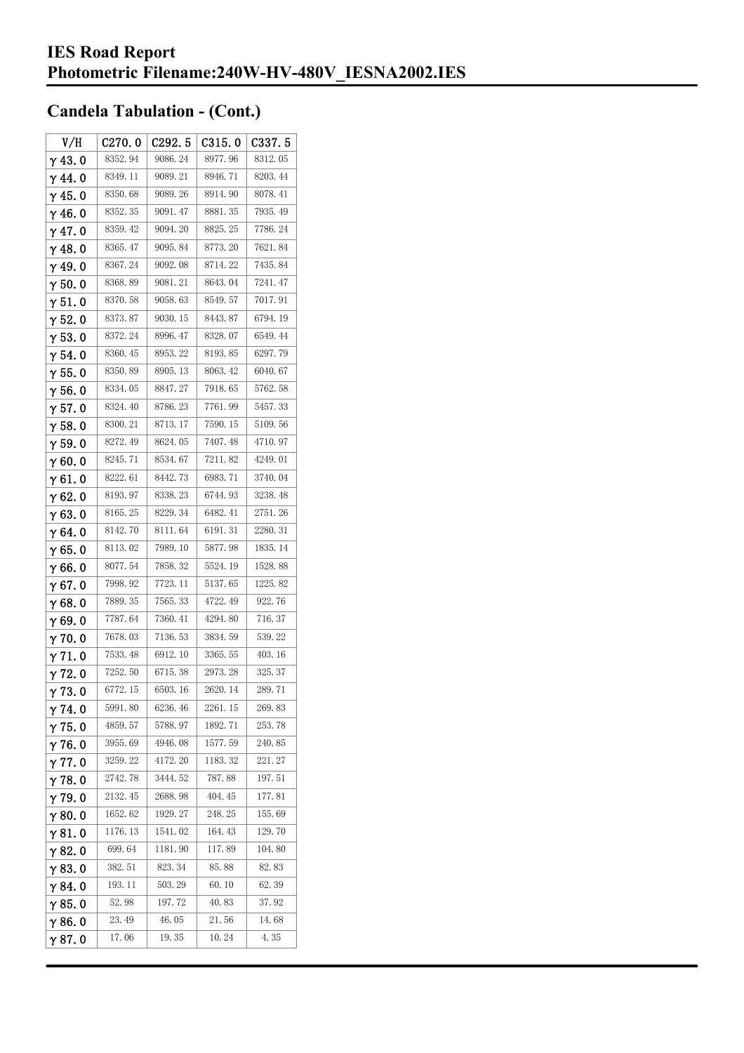| V/H            | C270.0   | C292.5  | C315.0  | C337.5   |
|----------------|----------|---------|---------|----------|
| $\gamma$ 43. 0 | 8352.94  | 9086.24 | 8977.96 | 8312.05  |
| $\gamma$ 44.0  | 8349.11  | 9089.21 | 8946.71 | 8203.44  |
| $\gamma$ 45. 0 | 8350.68  | 9089.26 | 8914.90 | 8078.41  |
| γ46.0          | 8352.35  | 9091.47 | 8881.35 | 7935.49  |
| $\gamma$ 47.0  | 8359.42  | 9094.20 | 8825.25 | 7786.24  |
| $\gamma$ 48.0  | 8365.47  | 9095.84 | 8773.20 | 7621.84  |
| γ49.0          | 8367.24  | 9092.08 | 8714.22 | 7435.84  |
| $\gamma$ 50. 0 | 8368.89  | 9081.21 | 8643.04 | 7241.47  |
| $\gamma$ 51.0  | 8370.58  | 9058.63 | 8549.57 | 7017.91  |
| $\gamma$ 52. 0 | 8373.87  | 9030.15 | 8443.87 | 6794. 19 |
| $\gamma$ 53.0  | 8372.24  | 8996.47 | 8328.07 | 6549.44  |
| $\gamma$ 54. 0 | 8360.45  | 8953.22 | 8193.85 | 6297.79  |
| $\gamma$ 55.0  | 8350.89  | 8905.13 | 8063.42 | 6040.67  |
| γ56.0          | 8334.05  | 8847.27 | 7918.65 | 5762.58  |
| γ57.0          | 8324.40  | 8786.23 | 7761.99 | 5457.33  |
| $\gamma$ 58. 0 | 8300.21  | 8713.17 | 7590.15 | 5109.56  |
| $\gamma$ 59. 0 | 8272.49  | 8624.05 | 7407.48 | 4710.97  |
| γ60.0          | 8245.71  | 8534.67 | 7211.82 | 4249.01  |
| $\gamma$ 61.0  | 8222.61  | 8442.73 | 6983.71 | 3740.04  |
| $\gamma$ 62. 0 | 8193.97  | 8338.23 | 6744.93 | 3238.48  |
| $\gamma$ 63.0  | 8165.25  | 8229.34 | 6482.41 | 2751.26  |
| γ64.0          | 8142.70  | 8111.64 | 6191.31 | 2280.31  |
| γ65.0          | 8113.02  | 7989.10 | 5877.98 | 1835.14  |
| γ66.0          | 8077.54  | 7858.32 | 5524.19 | 1528.88  |
| $\gamma$ 67. 0 | 7998.92  | 7723.11 | 5137.65 | 1225.82  |
| γ68.0          | 7889.35  | 7565.33 | 4722.49 | 922.76   |
| γ69.0          | 7787.64  | 7360.41 | 4294.80 | 716.37   |
| $\gamma$ 70.0  | 7678.03  | 7136.53 | 3834.59 | 539.22   |
| $\gamma$ 71.0  | 7533.48  | 6912.10 | 3365.55 | 403.16   |
| γ72.0          | 7252.50  | 6715.38 | 2973.28 | 325.37   |
| $\gamma$ 73.0  | 6772.15  | 6503.16 | 2620.14 | 289.71   |
| $\gamma$ 74.0  | 5991.80  | 6236.46 | 2261.15 | 269.83   |
| $\gamma$ 75.0  | 4859.57  | 5788.97 | 1892.71 | 253.78   |
| $\gamma$ 76.0  | 3955.69  | 4946.08 | 1577.59 | 240.85   |
| $\gamma$ 77. 0 | 3259.22  | 4172.20 | 1183.32 | 221.27   |
| $\gamma$ 78.0  | 2742.78  | 3444.52 | 787.88  | 197. 51  |
| $\gamma$ 79.0  | 2132.45  | 2688.98 | 404.45  | 177.81   |
| γ80.0          | 1652.62  | 1929.27 | 248.25  | 155.69   |
| γ81.0          | 1176. 13 | 1541.02 | 164.43  | 129.70   |
| γ82.0          | 699.64   | 1181.90 | 117.89  | 104.80   |
| $\gamma$ 83. O | 382.51   | 823.34  | 85.88   | 82.83    |
| γ84.0          | 193. 11  | 503.29  | 60. 10  | 62.39    |
| γ85.0          | 52.98    | 197.72  | 40.83   | 37.92    |
| γ86.0          | 23.49    | 46.05   | 21.56   | 14.68    |
| γ87.0          | 17.06    | 19.35   | 10.24   | 4.35     |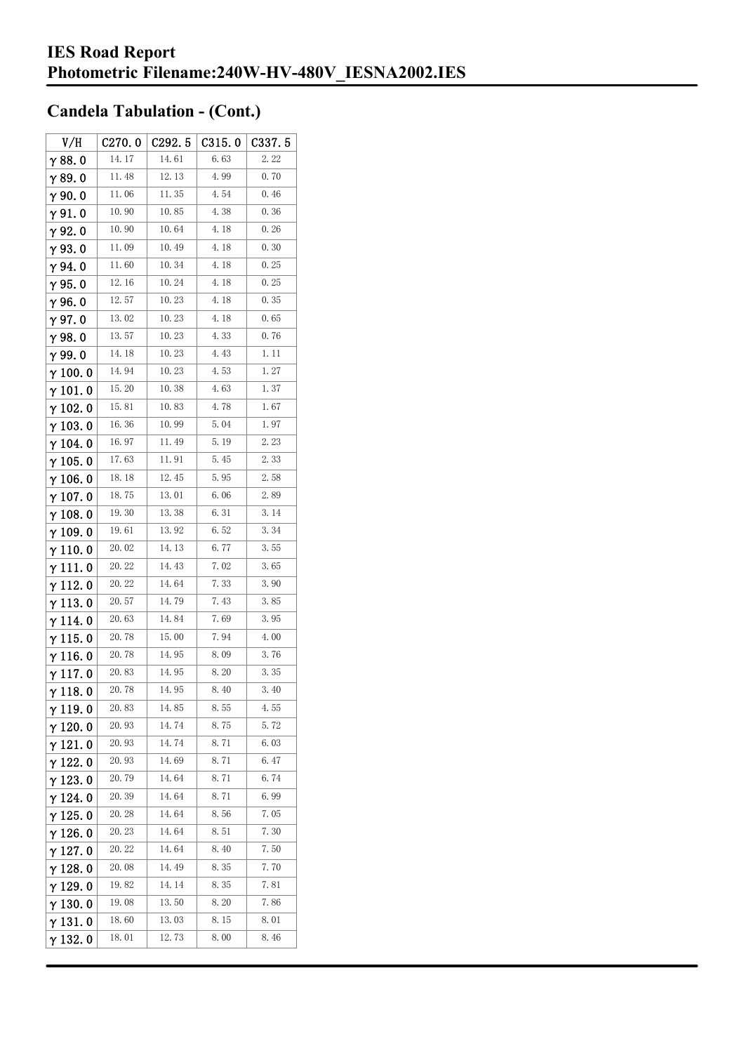| V/H             | C270.0 | C292. 5 | C315.0 | C337.5 |
|-----------------|--------|---------|--------|--------|
| $\gamma$ 88.0   | 14.17  | 14.61   | 6.63   | 2.22   |
| $\gamma$ 89.0   | 11.48  | 12.13   | 4.99   | 0.70   |
| $\gamma$ 90.0   | 11.06  | 11.35   | 4.54   | 0.46   |
| $\gamma$ 91.0   | 10.90  | 10.85   | 4.38   | 0.36   |
| $\gamma$ 92.0   | 10.90  | 10.64   | 4.18   | 0.26   |
| $\gamma$ 93. O  | 11.09  | 10.49   | 4.18   | 0.30   |
| $\gamma$ 94.0   | 11.60  | 10.34   | 4.18   | 0.25   |
| $\gamma$ 95.0   | 12.16  | 10.24   | 4.18   | 0.25   |
| γ96.0           | 12.57  | 10.23   | 4.18   | 0.35   |
| γ97.0           | 13.02  | 10.23   | 4.18   | 0.65   |
| $\gamma$ 98.0   | 13.57  | 10.23   | 4.33   | 0.76   |
| $\gamma$ 99.0   | 14.18  | 10.23   | 4.43   | 1.11   |
| $\gamma$ 100.0  | 14.94  | 10.23   | 4.53   | 1.27   |
| $\gamma$ 101. 0 | 15.20  | 10.38   | 4.63   | 1.37   |
| $\gamma$ 102.0  | 15.81  | 10.83   | 4.78   | 1.67   |
| $\gamma$ 103. 0 | 16.36  | 10.99   | 5.04   | 1.97   |
| $\gamma$ 104. 0 | 16.97  | 11.49   | 5.19   | 2.23   |
| $\gamma$ 105. 0 | 17.63  | 11.91   | 5.45   | 2.33   |
| $\gamma$ 106.0  | 18.18  | 12.45   | 5.95   | 2.58   |
| $\gamma$ 107. 0 | 18.75  | 13.01   | 6.06   | 2.89   |
| $\gamma$ 108.0  | 19.30  | 13.38   | 6.31   | 3.14   |
| $\gamma$ 109.0  | 19.61  | 13.92   | 6.52   | 3.34   |
| $\gamma$ 110. 0 | 20.02  | 14.13   | 6.77   | 3.55   |
| γ111.0          | 20.22  | 14. 43  | 7.02   | 3.65   |
| $\gamma$ 112. 0 | 20.22  | 14.64   | 7.33   | 3.90   |
| $\gamma$ 113. 0 | 20.57  | 14.79   | 7.43   | 3.85   |
| γ114.0          | 20.63  | 14.84   | 7.69   | 3.95   |
| $\gamma$ 115.0  | 20.78  | 15.00   | 7.94   | 4.00   |
| $\gamma$ 116.0  | 20.78  | 14.95   | 8.09   | 3.76   |
| $\gamma$ 117. 0 | 20.83  | 14.95   | 8.20   | 3.35   |
| $\gamma$ 118.0  | 20.78  | 14.95   | 8.40   | 3.40   |
| γ119.0          | 20.83  | 14.85   | 8.55   | 4.55   |
| $\gamma$ 120.0  | 20.93  | 14.74   | 8.75   | 5.72   |
| $\gamma$ 121. 0 | 20. 93 | 14.74   | 8.71   | 6.03   |
| $\gamma$ 122. 0 | 20.93  | 14.69   | 8.71   | 6.47   |
| $\gamma$ 123.0  | 20.79  | 14.64   | 8.71   | 6.74   |
| γ 124. 0        | 20.39  | 14.64   | 8.71   | 6.99   |
| $\gamma$ 125. 0 | 20.28  | 14.64   | 8.56   | 7.05   |
| γ 126. 0        | 20.23  | 14.64   | 8.51   | 7.30   |
| $\gamma$ 127. 0 | 20.22  | 14.64   | 8.40   | 7.50   |
| γ 128. 0        | 20.08  | 14.49   | 8.35   | 7.70   |
| $\gamma$ 129. 0 | 19.82  | 14.14   | 8.35   | 7.81   |
| $\gamma$ 130.0  | 19.08  | 13.50   | 8.20   | 7.86   |
| γ131.0          | 18.60  | 13.03   | 8.15   | 8.01   |
| $\gamma$ 132. 0 | 18.01  | 12.73   | 8.00   | 8.46   |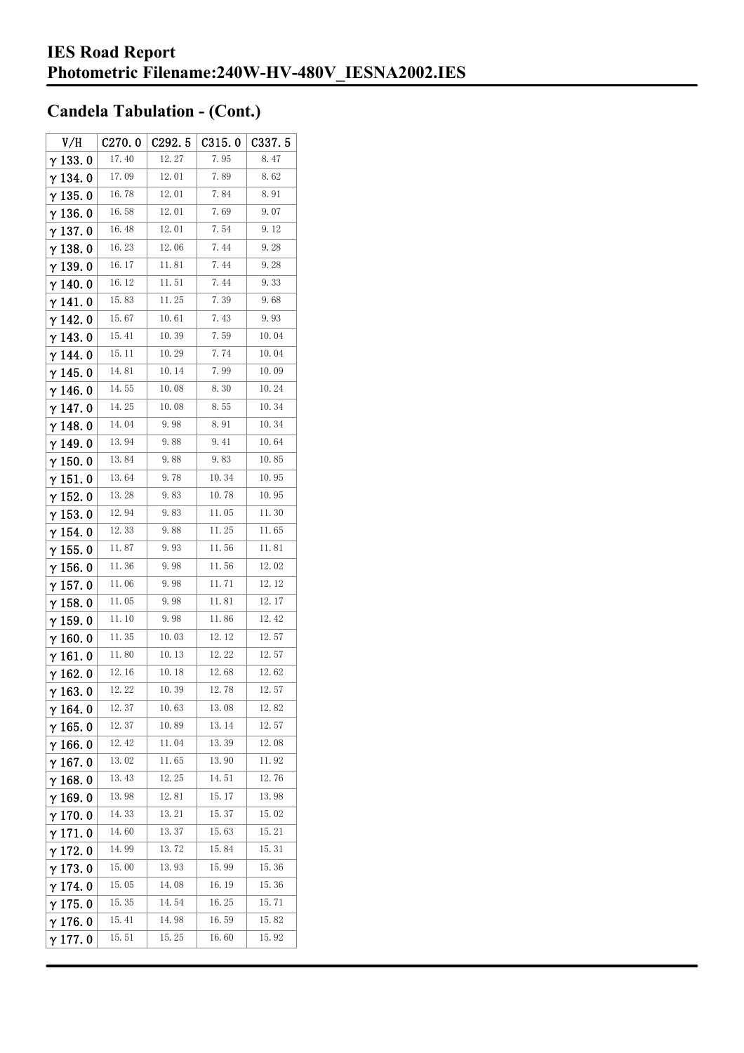| V/H             | C270.0 | C292.5 | C315.0 | C337. 5 |
|-----------------|--------|--------|--------|---------|
| $\gamma$ 133.0  | 17.40  | 12.27  | 7.95   | 8.47    |
| $\gamma$ 134.0  | 17.09  | 12.01  | 7.89   | 8.62    |
| $\gamma$ 135. 0 | 16.78  | 12.01  | 7.84   | 8.91    |
| $\gamma$ 136.0  | 16.58  | 12.01  | 7.69   | 9.07    |
| $\gamma$ 137. 0 | 16.48  | 12.01  | 7.54   | 9.12    |
| $\gamma$ 138. 0 | 16.23  | 12.06  | 7.44   | 9.28    |
| γ139.0          | 16.17  | 11.81  | 7.44   | 9.28    |
| $\gamma$ 140. 0 | 16.12  | 11.51  | 7.44   | 9.33    |
| γ141.0          | 15.83  | 11.25  | 7.39   | 9.68    |
| $\gamma$ 142. 0 | 15.67  | 10.61  | 7.43   | 9.93    |
| $\gamma$ 143.0  | 15.41  | 10.39  | 7.59   | 10.04   |
| $\gamma$ 144. 0 | 15.11  | 10.29  | 7.74   | 10.04   |
| γ 145. 0        | 14.81  | 10.14  | 7.99   | 10.09   |
| γ146.0          | 14.55  | 10.08  | 8.30   | 10.24   |
| $\gamma$ 147.0  | 14.25  | 10.08  | 8.55   | 10.34   |
| γ148.0          | 14.04  | 9.98   | 8.91   | 10.34   |
| $\gamma$ 149. 0 | 13.94  | 9.88   | 9.41   | 10.64   |
| $\gamma$ 150. 0 | 13.84  | 9.88   | 9.83   | 10.85   |
| $\gamma$ 151.0  | 13.64  | 9.78   | 10.34  | 10.95   |
| $\gamma$ 152.0  | 13.28  | 9.83   | 10.78  | 10.95   |
| $\gamma$ 153. 0 | 12.94  | 9.83   | 11.05  | 11.30   |
| $\gamma$ 154.0  | 12.33  | 9.88   | 11. 25 | 11.65   |
| $\gamma$ 155. 0 | 11.87  | 9.93   | 11.56  | 11.81   |
| $\gamma$ 156. 0 | 11.36  | 9.98   | 11.56  | 12.02   |
| $\gamma$ 157. 0 | 11.06  | 9.98   | 11.71  | 12.12   |
| $\gamma$ 158.0  | 11.05  | 9.98   | 11.81  | 12.17   |
| $\gamma$ 159. 0 | 11.10  | 9.98   | 11.86  | 12.42   |
| $\gamma$ 160.0  | 11.35  | 10.03  | 12.12  | 12.57   |
| $\gamma$ 161. 0 | 11.80  | 10.13  | 12.22  | 12.57   |
| $\gamma$ 162.0  | 12.16  | 10.18  | 12.68  | 12.62   |
| $\gamma$ 163.0  | 12.22  | 10.39  | 12.78  | 12.57   |
| $\gamma$ 164. 0 | 12.37  | 10.63  | 13.08  | 12.82   |
| $\gamma$ 165.0  | 12.37  | 10.89  | 13.14  | 12.57   |
| $\gamma$ 166.0  | 12.42  | 11.04  | 13.39  | 12.08   |
| $\gamma$ 167. 0 | 13.02  | 11.65  | 13.90  | 11.92   |
| $\gamma$ 168.0  | 13.43  | 12.25  | 14.51  | 12.76   |
| $\gamma$ 169.0  | 13.98  | 12.81  | 15.17  | 13.98   |
| $\gamma$ 170.0  | 14.33  | 13.21  | 15.37  | 15.02   |
| $\gamma$ 171.0  | 14.60  | 13.37  | 15.63  | 15.21   |
| $\gamma$ 172.0  | 14.99  | 13.72  | 15.84  | 15.31   |
| $\gamma$ 173.0  | 15.00  | 13.93  | 15.99  | 15.36   |
| $\gamma$ 174.0  | 15.05  | 14.08  | 16. 19 | 15.36   |
| $\gamma$ 175. 0 | 15.35  | 14.54  | 16.25  | 15.71   |
| $\gamma$ 176.0  | 15.41  | 14.98  | 16. 59 | 15.82   |
| γ177.0          | 15.51  | 15.25  | 16.60  | 15.92   |